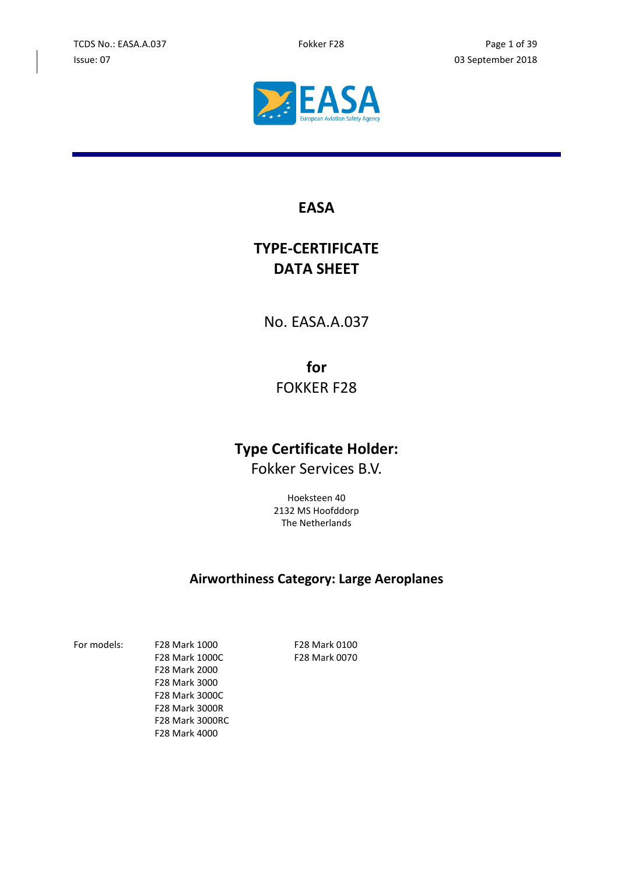

# **EASA**

# **TYPE-CERTIFICATE DATA SHEET**

No. EASA.A.037

# *for for* FOKKER F28

# **Type Certificate Holder:**

Fokker Services B.V.

Hoeksteen 40 2132 MS Hoofddorp The Netherlands

# **Airworthiness Category: Large Aeroplanes**

 F28 Mark 1000C F28 Mark 0070 F28 Mark 2000 F28 Mark 3000 F28 Mark 3000C F28 Mark 3000R F28 Mark 3000RC F28 Mark 4000

For models: F28 Mark 1000 F28 Mark 0100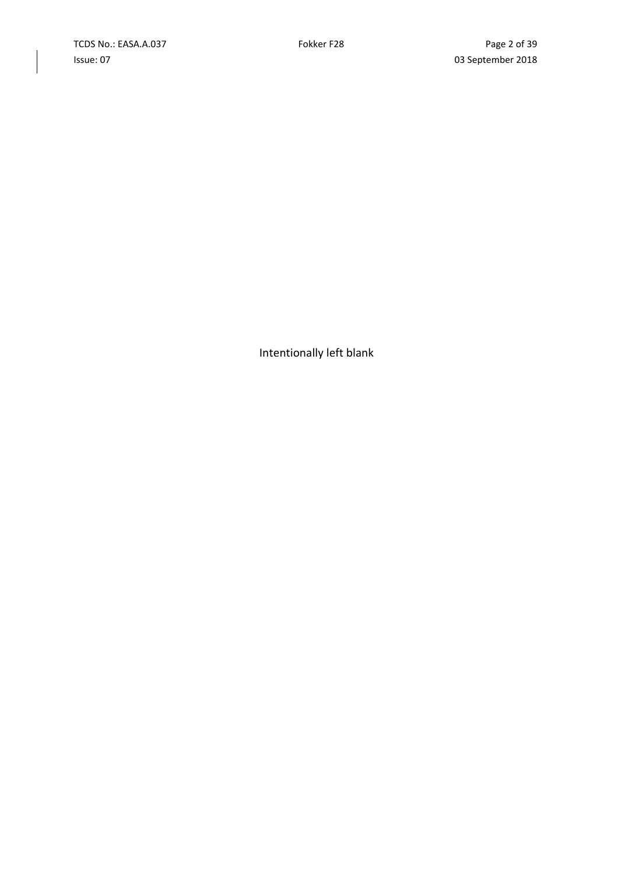Intentionally left blank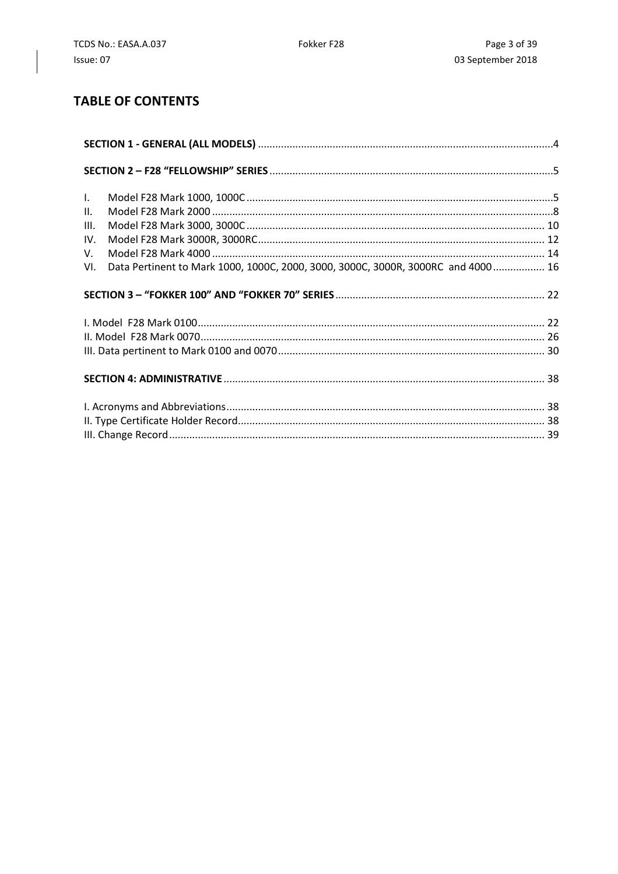# **TABLE OF CONTENTS**

| $\mathbf{L}$ |                                                                                  |  |
|--------------|----------------------------------------------------------------------------------|--|
| Ш.           |                                                                                  |  |
| III.         |                                                                                  |  |
| IV.          |                                                                                  |  |
| V.           |                                                                                  |  |
| VI.          | Data Pertinent to Mark 1000, 1000C, 2000, 3000, 3000C, 3000R, 3000RC and 4000 16 |  |
|              |                                                                                  |  |
|              |                                                                                  |  |
|              |                                                                                  |  |
|              |                                                                                  |  |
|              |                                                                                  |  |
|              |                                                                                  |  |
|              |                                                                                  |  |
|              |                                                                                  |  |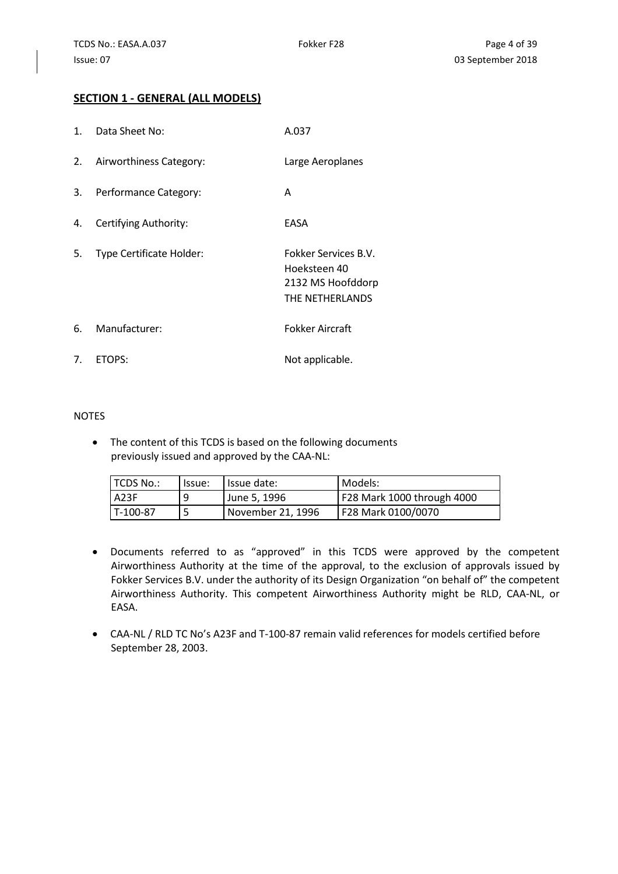TCDS No.: EASA.A.037 Fokker F28 Page 4 of 39 Issue: 07 03 September 2018

#### **SECTION 1 - GENERAL (ALL MODELS)**

| $\mathbf{1}$ . | Data Sheet No:             | A.037                                                                        |
|----------------|----------------------------|------------------------------------------------------------------------------|
|                | 2. Airworthiness Category: | Large Aeroplanes                                                             |
| 3.             | Performance Category:      | A                                                                            |
| 4.             | Certifying Authority:      | EASA                                                                         |
| 5.             | Type Certificate Holder:   | Fokker Services B.V.<br>Hoeksteen 40<br>2132 MS Hoofddorp<br>THE NETHERLANDS |
| 6.             | Manufacturer:              | <b>Fokker Aircraft</b>                                                       |
| 7.             | ETOPS:                     | Not applicable.                                                              |

#### NOTES

• The content of this TCDS is based on the following documents previously issued and approved by the CAA-NL:

| <b>ITCDS No.:</b><br>Issue date:<br>lssue: |   |                   | Models:                           |  |
|--------------------------------------------|---|-------------------|-----------------------------------|--|
| A23F                                       | Q | June 5, 1996      | <b>F28 Mark 1000 through 4000</b> |  |
| T-100-87                                   |   | November 21, 1996 | F28 Mark 0100/0070                |  |

- Documents referred to as "approved" in this TCDS were approved by the competent Airworthiness Authority at the time of the approval, to the exclusion of approvals issued by Fokker Services B.V. under the authority of its Design Organization "on behalf of" the competent Airworthiness Authority. This competent Airworthiness Authority might be RLD, CAA-NL, or EASA.
- CAA-NL / RLD TC No's A23F and T-100-87 remain valid references for models certified before September 28, 2003.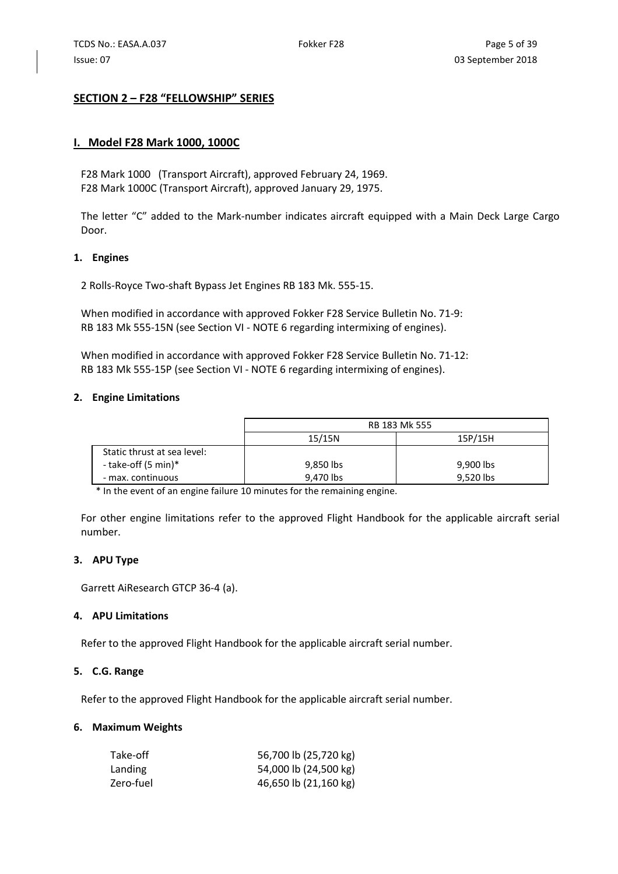## **SECTION 2 – F28 "FELLOWSHIP" SERIES**

#### **I. Model F28 Mark 1000, 1000C**

F28 Mark 1000 (Transport Aircraft), approved February 24, 1969. F28 Mark 1000C (Transport Aircraft), approved January 29, 1975.

The letter "C" added to the Mark-number indicates aircraft equipped with a Main Deck Large Cargo Door.

#### **1. Engines**

2 Rolls-Royce Two-shaft Bypass Jet Engines RB 183 Mk. 555-15.

When modified in accordance with approved Fokker F28 Service Bulletin No. 71-9: RB 183 Mk 555-15N (see Section VI - NOTE 6 regarding intermixing of engines).

When modified in accordance with approved Fokker F28 Service Bulletin No. 71-12: RB 183 Mk 555-15P (see Section VI - NOTE 6 regarding intermixing of engines).

#### **2. Engine Limitations**

|                             |           | RB 183 Mk 555 |
|-----------------------------|-----------|---------------|
|                             | 15/15N    | 15P/15H       |
| Static thrust at sea level: |           |               |
| - take-off (5 min)*         | 9,850 lbs | 9,900 lbs     |
| - max. continuous           | 9.470 lbs | 9,520 lbs     |

\* In the event of an engine failure 10 minutes for the remaining engine.

For other engine limitations refer to the approved Flight Handbook for the applicable aircraft serial number.

#### **3. APU Type**

Garrett AiResearch GTCP 36-4 (a).

#### **4. APU Limitations**

Refer to the approved Flight Handbook for the applicable aircraft serial number.

#### **5. C.G. Range**

Refer to the approved Flight Handbook for the applicable aircraft serial number.

#### **6. Maximum Weights**

| Take-off  | 56,700 lb (25,720 kg) |
|-----------|-----------------------|
| Landing   | 54,000 lb (24,500 kg) |
| Zero-fuel | 46,650 lb (21,160 kg) |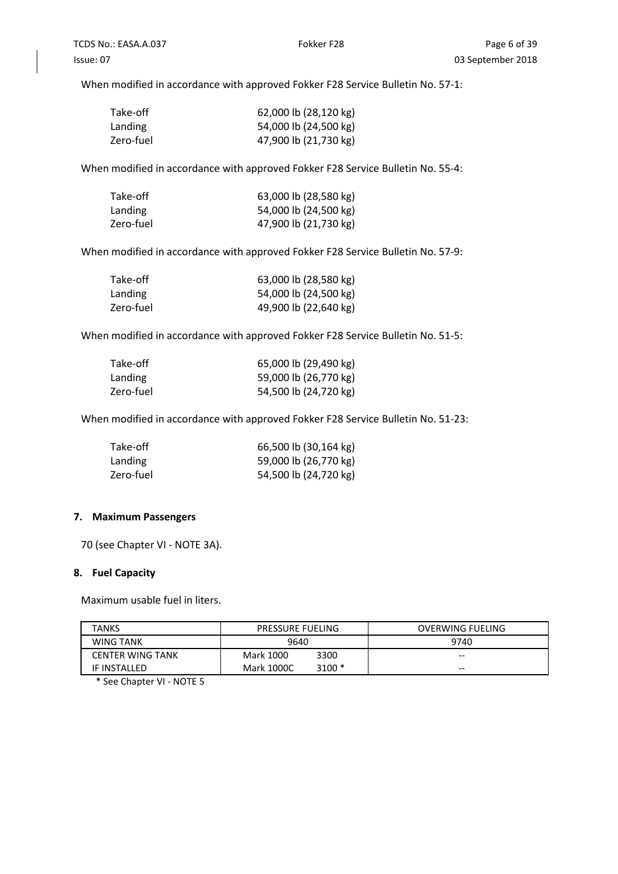When modified in accordance with approved Fokker F28 Service Bulletin No. 57-1:

| Take-off  | 62,000 lb (28,120 kg) |
|-----------|-----------------------|
| Landing   | 54,000 lb (24,500 kg) |
| Zero-fuel | 47,900 lb (21,730 kg) |

When modified in accordance with approved Fokker F28 Service Bulletin No. 55-4:

| Take-off  | 63,000 lb (28,580 kg) |
|-----------|-----------------------|
| Landing   | 54,000 lb (24,500 kg) |
| Zero-fuel | 47,900 lb (21,730 kg) |

When modified in accordance with approved Fokker F28 Service Bulletin No. 57-9:

| Take-off  | 63,000 lb (28,580 kg) |
|-----------|-----------------------|
| Landing   | 54,000 lb (24,500 kg) |
| Zero-fuel | 49,900 lb (22,640 kg) |

When modified in accordance with approved Fokker F28 Service Bulletin No. 51-5:

| Take-off  | 65,000 lb (29,490 kg) |
|-----------|-----------------------|
| Landing   | 59,000 lb (26,770 kg) |
| Zero-fuel | 54,500 lb (24,720 kg) |

When modified in accordance with approved Fokker F28 Service Bulletin No. 51-23:

| Take-off  | 66,500 lb (30,164 kg) |
|-----------|-----------------------|
| Landing   | 59,000 lb (26,770 kg) |
| Zero-fuel | 54,500 lb (24,720 kg) |

#### **7. Maximum Passengers**

70 (see Chapter VI - NOTE 3A).

#### **8. Fuel Capacity**

Maximum usable fuel in liters.

| TANKS                   | <b>PRESSURE FUELING</b> |      | <b>OVERWING FUELING</b> |
|-------------------------|-------------------------|------|-------------------------|
| WING TANK               | 9640                    |      | 9740                    |
| <b>CENTER WING TANK</b> | Mark 1000               | 3300 | $- -$                   |
| IF INSTALLED            | $3100*$<br>Mark 1000C   |      | $- -$                   |

\* See Chapter VI - NOTE 5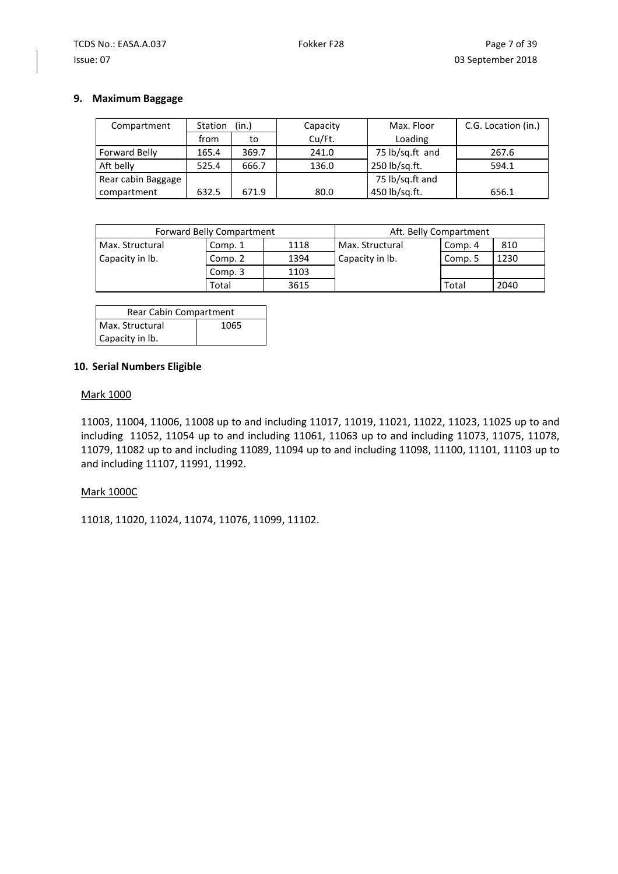#### **9. Maximum Baggage**

| Compartment        | (in.)<br>Station |       | Capacity | Max. Floor      | C.G. Location (in.) |
|--------------------|------------------|-------|----------|-----------------|---------------------|
|                    | trom             | to    | Cu/Ft.   | Loading         |                     |
| Forward Belly      | 165.4            | 369.7 | 241.0    | 75 lb/sq.ft and | 267.6               |
| Aft belly          | 525.4            | 666.7 | 136.0    | 250 lb/sq.ft.   | 594.1               |
| Rear cabin Baggage |                  |       |          | 75 lb/sq.ft and |                     |
| compartment        | 632.5            | 671.9 | 80.0     | 450 lb/sq.ft.   | 656.1               |

| Forward Belly Compartment |         | Aft. Belly Compartment |                 |         |      |
|---------------------------|---------|------------------------|-----------------|---------|------|
| Max. Structural           | Comp. 1 | 1118                   | Max. Structural | Comp. 4 | 810  |
| Capacity in lb.           | Comp. 2 | 1394                   | Capacity in Ib. | Comp. 5 | 1230 |
|                           | Comp. 3 | 1103                   |                 |         |      |
|                           | Total   | 3615                   |                 | Total   | 2040 |

| Rear Cabin Compartment  |  |  |  |
|-------------------------|--|--|--|
| Max. Structural<br>1065 |  |  |  |
| Capacity in Ib.         |  |  |  |

#### **10. Serial Numbers Eligible**

#### Mark 1000

11003, 11004, 11006, 11008 up to and including 11017, 11019, 11021, 11022, 11023, 11025 up to and including 11052, 11054 up to and including 11061, 11063 up to and including 11073, 11075, 11078, 11079, 11082 up to and including 11089, 11094 up to and including 11098, 11100, 11101, 11103 up to and including 11107, 11991, 11992.

#### Mark 1000C

11018, 11020, 11024, 11074, 11076, 11099, 11102.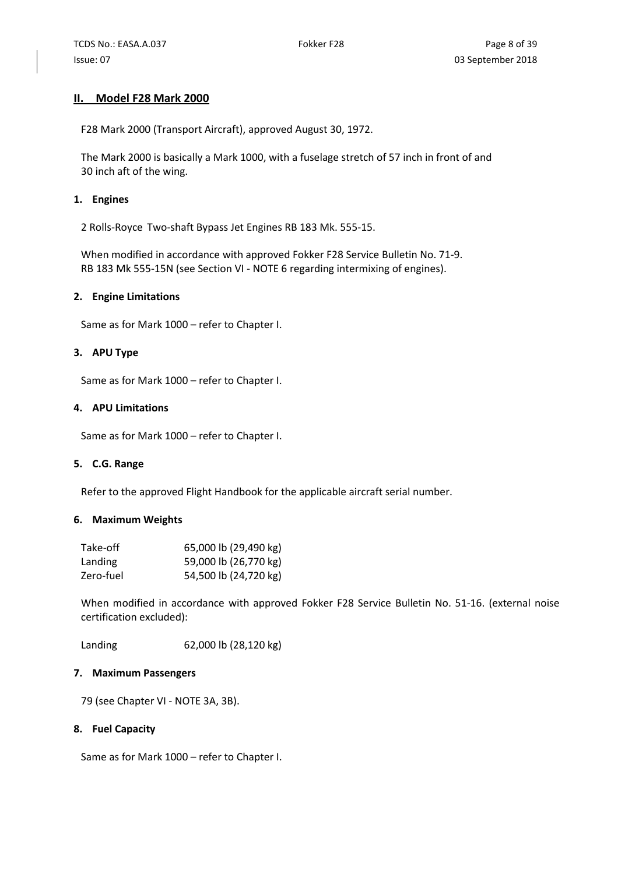#### **II. Model F28 Mark 2000**

F28 Mark 2000 (Transport Aircraft), approved August 30, 1972.

The Mark 2000 is basically a Mark 1000, with a fuselage stretch of 57 inch in front of and 30 inch aft of the wing.

#### **1. Engines**

2 Rolls-Royce Two-shaft Bypass Jet Engines RB 183 Mk. 555-15.

When modified in accordance with approved Fokker F28 Service Bulletin No. 71-9. RB 183 Mk 555-15N (see Section VI - NOTE 6 regarding intermixing of engines).

#### **2. Engine Limitations**

Same as for Mark 1000 – refer to Chapter I.

#### **3. APU Type**

Same as for Mark 1000 – refer to Chapter I.

#### **4. APU Limitations**

Same as for Mark 1000 – refer to Chapter I.

#### **5. C.G. Range**

Refer to the approved Flight Handbook for the applicable aircraft serial number.

#### **6. Maximum Weights**

| Take-off  | 65,000 lb (29,490 kg) |
|-----------|-----------------------|
| Landing   | 59,000 lb (26,770 kg) |
| Zero-fuel | 54,500 lb (24,720 kg) |

When modified in accordance with approved Fokker F28 Service Bulletin No. 51-16. (external noise certification excluded):

Landing 62,000 lb (28,120 kg)

#### **7. Maximum Passengers**

79 (see Chapter VI - NOTE 3A, 3B).

#### **8. Fuel Capacity**

Same as for Mark 1000 – refer to Chapter I.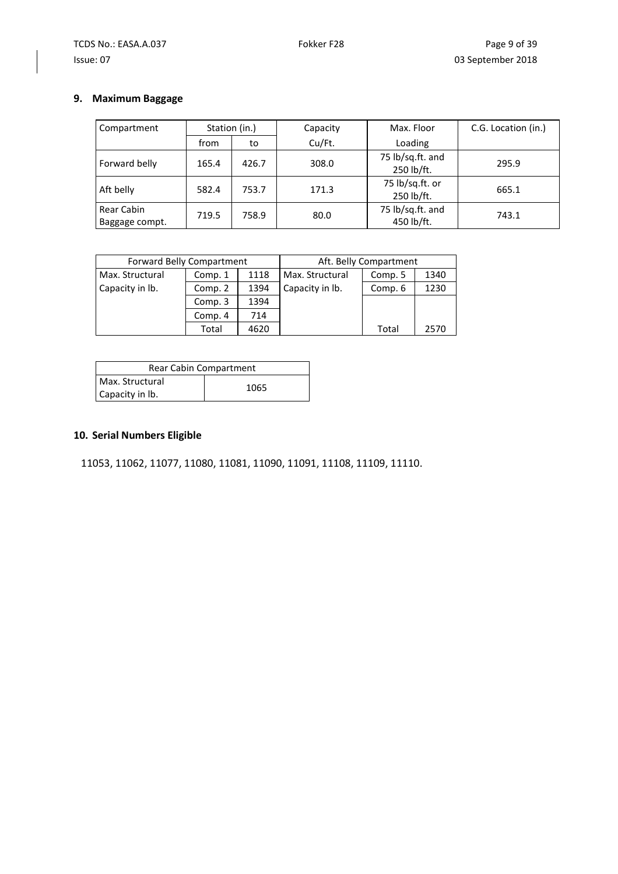#### **9. Maximum Baggage**

| Compartment                  | Station (in.) |       | Capacity | Max. Floor                     | C.G. Location (in.) |
|------------------------------|---------------|-------|----------|--------------------------------|---------------------|
|                              | from          | to    | Cu/Ft.   | Loading                        |                     |
| Forward belly                | 165.4         | 426.7 | 308.0    | 75 lb/sq.ft. and<br>250 lb/ft. | 295.9               |
| Aft belly                    | 582.4         | 753.7 | 171.3    | 75 lb/sq.ft. or<br>250 lb/ft.  | 665.1               |
| Rear Cabin<br>Baggage compt. | 719.5         | 758.9 | 80.0     | 75 lb/sq.ft. and<br>450 lb/ft. | 743.1               |

| Forward Belly Compartment |         |      | Aft. Belly Compartment |         |      |
|---------------------------|---------|------|------------------------|---------|------|
| Max. Structural           | Comp. 1 | 1118 | Max. Structural        | Comp. 5 | 1340 |
| Capacity in Ib.           | Comp. 2 | 1394 | Capacity in Ib.        | Comp. 6 | 1230 |
|                           | Comp. 3 | 1394 |                        |         |      |
|                           | Comp. 4 | 714  |                        |         |      |
|                           | Total   | 4620 |                        | Total   | 2570 |

| Rear Cabin Compartment               |      |  |  |
|--------------------------------------|------|--|--|
| l Max. Structural<br>Capacity in Ib. | 1065 |  |  |

## **10. Serial Numbers Eligible**

11053, 11062, 11077, 11080, 11081, 11090, 11091, 11108, 11109, 11110.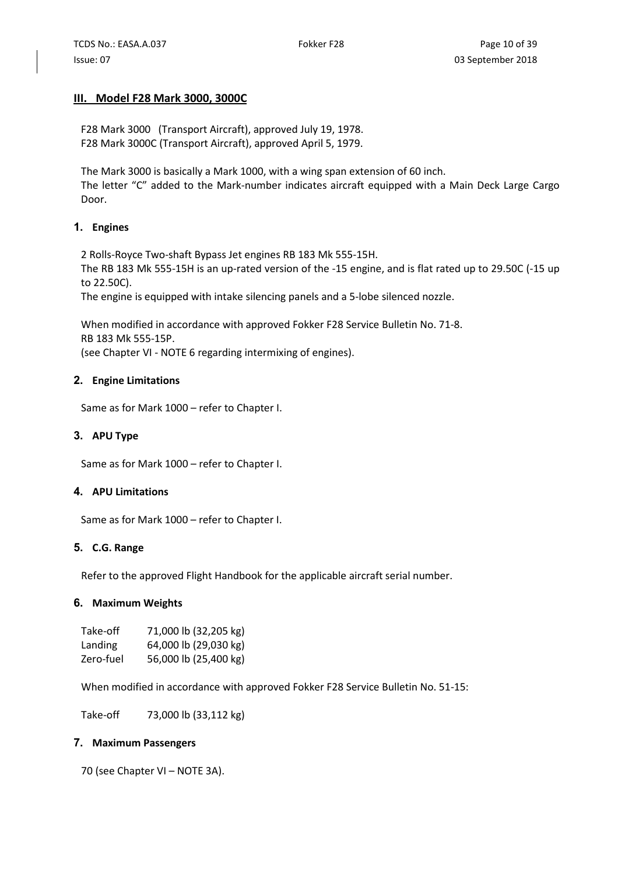## **III. Model F28 Mark 3000, 3000C**

F28 Mark 3000 (Transport Aircraft), approved July 19, 1978. F28 Mark 3000C (Transport Aircraft), approved April 5, 1979.

The Mark 3000 is basically a Mark 1000, with a wing span extension of 60 inch. The letter "C" added to the Mark-number indicates aircraft equipped with a Main Deck Large Cargo Door.

## **1. Engines**

2 Rolls-Royce Two-shaft Bypass Jet engines RB 183 Mk 555-15H. The RB 183 Mk 555-15H is an up-rated version of the -15 engine, and is flat rated up to 29.50C (-15 up to 22.50C).

The engine is equipped with intake silencing panels and a 5-lobe silenced nozzle.

When modified in accordance with approved Fokker F28 Service Bulletin No. 71-8. RB 183 Mk 555-15P.

(see Chapter VI - NOTE 6 regarding intermixing of engines).

## **2. Engine Limitations**

Same as for Mark 1000 – refer to Chapter I.

## **3. APU Type**

Same as for Mark 1000 – refer to Chapter I.

#### **4. APU Limitations**

Same as for Mark 1000 – refer to Chapter I.

#### **5. C.G. Range**

Refer to the approved Flight Handbook for the applicable aircraft serial number.

#### **6. Maximum Weights**

| Take-off  | 71,000 lb (32,205 kg) |
|-----------|-----------------------|
| Landing   | 64,000 lb (29,030 kg) |
| Zero-fuel | 56,000 lb (25,400 kg) |

When modified in accordance with approved Fokker F28 Service Bulletin No. 51-15:

Take-off 73,000 lb (33,112 kg)

#### **7. Maximum Passengers**

70 (see Chapter VI – NOTE 3A).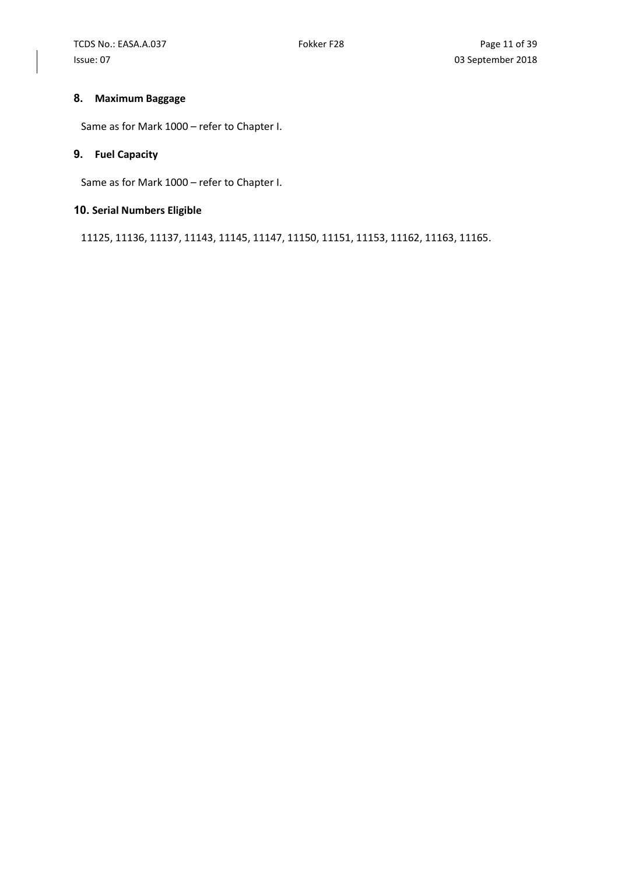#### **8. Maximum Baggage**

Same as for Mark 1000 – refer to Chapter I.

## **9. Fuel Capacity**

Same as for Mark 1000 – refer to Chapter I.

## **10. Serial Numbers Eligible**

11125, 11136, 11137, 11143, 11145, 11147, 11150, 11151, 11153, 11162, 11163, 11165.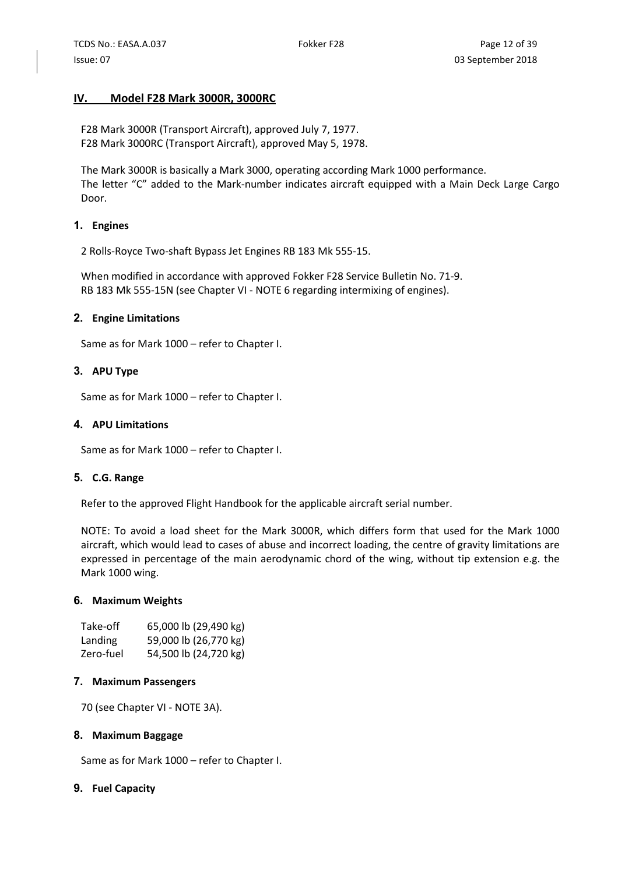## **IV. Model F28 Mark 3000R, 3000RC**

F28 Mark 3000R (Transport Aircraft), approved July 7, 1977. F28 Mark 3000RC (Transport Aircraft), approved May 5, 1978.

The Mark 3000R is basically a Mark 3000, operating according Mark 1000 performance. The letter "C" added to the Mark-number indicates aircraft equipped with a Main Deck Large Cargo Door.

#### **1. Engines**

2 Rolls-Royce Two-shaft Bypass Jet Engines RB 183 Mk 555-15.

When modified in accordance with approved Fokker F28 Service Bulletin No. 71-9. RB 183 Mk 555-15N (see Chapter VI - NOTE 6 regarding intermixing of engines).

#### **2. Engine Limitations**

Same as for Mark 1000 – refer to Chapter I.

#### **3. APU Type**

Same as for Mark 1000 – refer to Chapter I.

#### **4. APU Limitations**

Same as for Mark 1000 – refer to Chapter I.

#### **5. C.G. Range**

Refer to the approved Flight Handbook for the applicable aircraft serial number.

NOTE: To avoid a load sheet for the Mark 3000R, which differs form that used for the Mark 1000 aircraft, which would lead to cases of abuse and incorrect loading, the centre of gravity limitations are expressed in percentage of the main aerodynamic chord of the wing, without tip extension e.g. the Mark 1000 wing.

#### **6. Maximum Weights**

| Take-off  | 65,000 lb (29,490 kg) |
|-----------|-----------------------|
| Landing   | 59,000 lb (26,770 kg) |
| Zero-fuel | 54,500 lb (24,720 kg) |

#### **7. Maximum Passengers**

70 (see Chapter VI - NOTE 3A).

#### **8. Maximum Baggage**

Same as for Mark 1000 – refer to Chapter I.

#### **9. Fuel Capacity**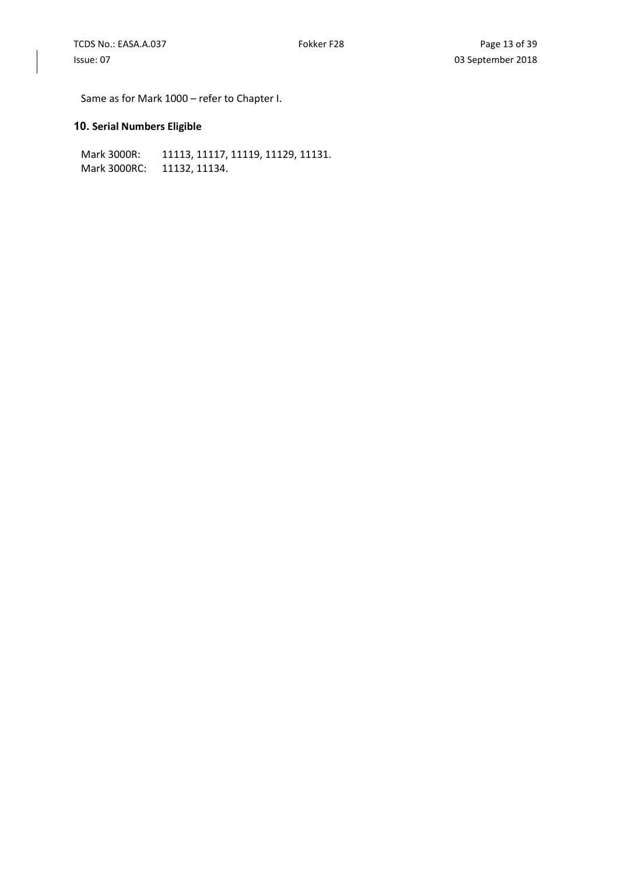Same as for Mark 1000 – refer to Chapter I.

## **10. Serial Numbers Eligible**

Mark 3000R: 11113, 11117, 11119, 11129, 11131. Mark 3000RC: 11132, 11134.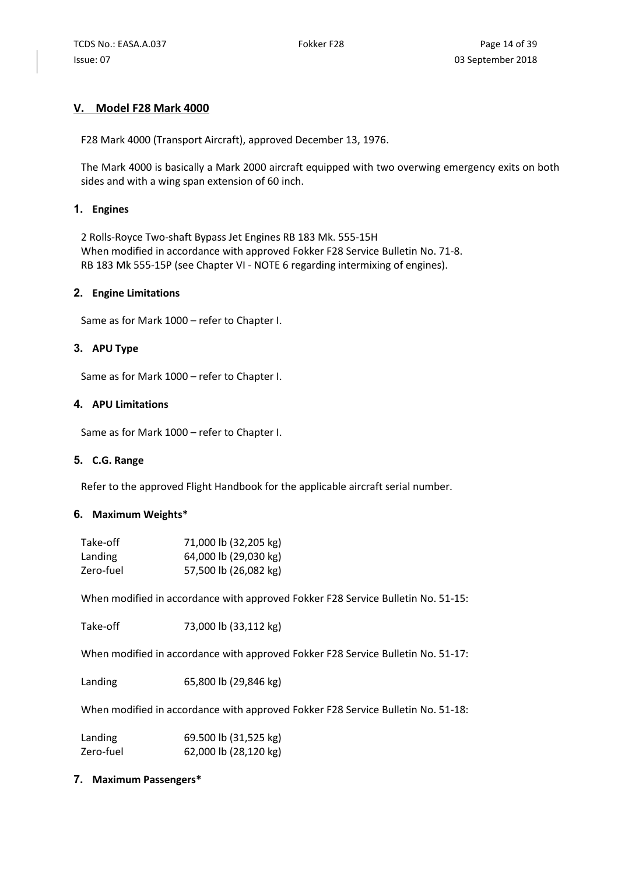## **V. Model F28 Mark 4000**

F28 Mark 4000 (Transport Aircraft), approved December 13, 1976.

The Mark 4000 is basically a Mark 2000 aircraft equipped with two overwing emergency exits on both sides and with a wing span extension of 60 inch.

#### **1. Engines**

2 Rolls-Royce Two-shaft Bypass Jet Engines RB 183 Mk. 555-15H When modified in accordance with approved Fokker F28 Service Bulletin No. 71-8. RB 183 Mk 555-15P (see Chapter VI - NOTE 6 regarding intermixing of engines).

#### **2. Engine Limitations**

Same as for Mark 1000 – refer to Chapter I.

#### **3. APU Type**

Same as for Mark 1000 – refer to Chapter I.

#### **4. APU Limitations**

Same as for Mark 1000 – refer to Chapter I.

#### **5. C.G. Range**

Refer to the approved Flight Handbook for the applicable aircraft serial number.

#### **6. Maximum Weights\***

| Take-off  | 71,000 lb (32,205 kg) |
|-----------|-----------------------|
| Landing   | 64,000 lb (29,030 kg) |
| Zero-fuel | 57,500 lb (26,082 kg) |

When modified in accordance with approved Fokker F28 Service Bulletin No. 51-15:

Take-off 73,000 lb (33,112 kg)

When modified in accordance with approved Fokker F28 Service Bulletin No. 51-17:

Landing 65,800 lb (29,846 kg)

When modified in accordance with approved Fokker F28 Service Bulletin No. 51-18:

| Landing   | 69.500 lb (31,525 kg) |
|-----------|-----------------------|
| Zero-fuel | 62,000 lb (28,120 kg) |

#### **7. Maximum Passengers\***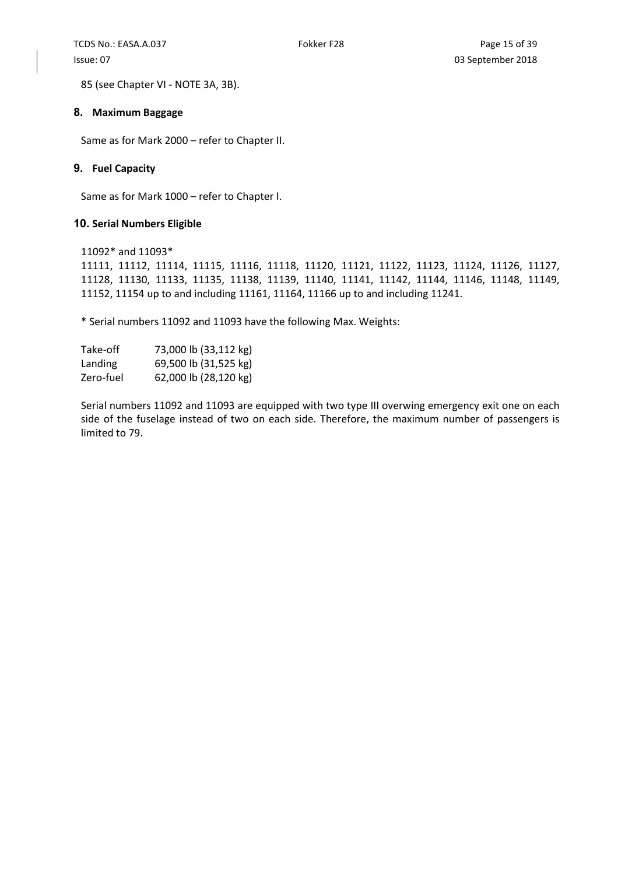TCDS No.: EASA.A.037 Fokker F28 Fokker F28 Page 15 of 39 Issue: 07 03 September 2018

85 (see Chapter VI - NOTE 3A, 3B).

#### **8. Maximum Baggage**

Same as for Mark 2000 – refer to Chapter II.

#### **9. Fuel Capacity**

Same as for Mark 1000 – refer to Chapter I.

#### **10. Serial Numbers Eligible**

11092\* and 11093\* 11111, 11112, 11114, 11115, 11116, 11118, 11120, 11121, 11122, 11123, 11124, 11126, 11127, 11128, 11130, 11133, 11135, 11138, 11139, 11140, 11141, 11142, 11144, 11146, 11148, 11149, 11152, 11154 up to and including 11161, 11164, 11166 up to and including 11241.

\* Serial numbers 11092 and 11093 have the following Max. Weights:

| Take-off  | 73,000 lb (33,112 kg) |
|-----------|-----------------------|
| Landing   | 69,500 lb (31,525 kg) |
| Zero-fuel | 62,000 lb (28,120 kg) |

Serial numbers 11092 and 11093 are equipped with two type III overwing emergency exit one on each side of the fuselage instead of two on each side. Therefore, the maximum number of passengers is limited to 79.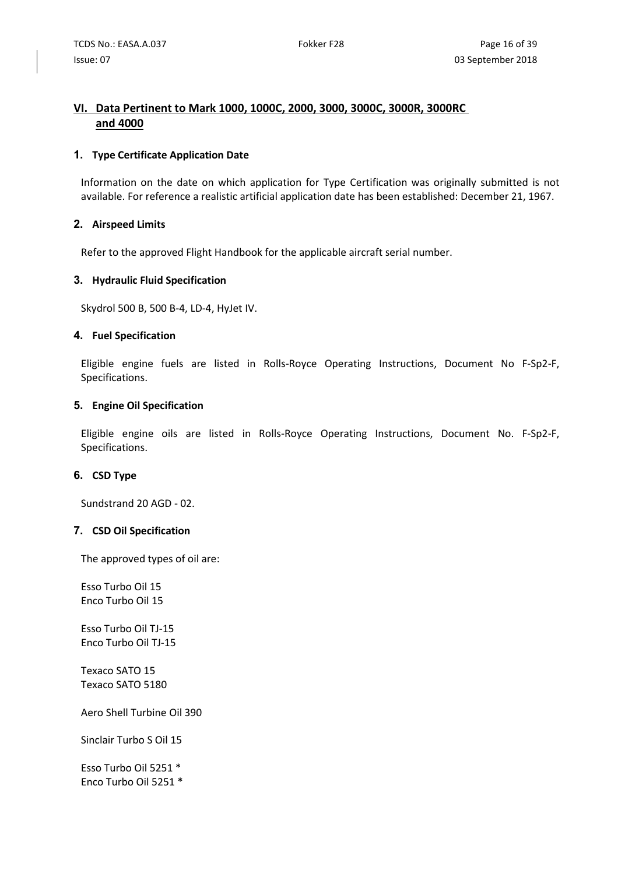## **VI. Data Pertinent to Mark 1000, 1000C, 2000, 3000, 3000C, 3000R, 3000RC and 4000**

## **1. Type Certificate Application Date**

Information on the date on which application for Type Certification was originally submitted is not available. For reference a realistic artificial application date has been established: December 21, 1967.

## **2. Airspeed Limits**

Refer to the approved Flight Handbook for the applicable aircraft serial number.

## **3. Hydraulic Fluid Specification**

Skydrol 500 B, 500 B-4, LD-4, HyJet IV.

## **4. Fuel Specification**

Eligible engine fuels are listed in Rolls-Royce Operating Instructions, Document No F-Sp2-F, Specifications.

## **5. Engine Oil Specification**

Eligible engine oils are listed in Rolls-Royce Operating Instructions, Document No. F-Sp2-F, Specifications.

## **6. CSD Type**

Sundstrand 20 AGD - 02.

## **7. CSD Oil Specification**

The approved types of oil are:

Esso Turbo Oil 15 Enco Turbo Oil 15

Esso Turbo Oil TJ-15 Enco Turbo Oil TJ-15

Texaco SATO 15 Texaco SATO 5180

Aero Shell Turbine Oil 390

Sinclair Turbo S Oil 15

Esso Turbo Oil 5251 \* Enco Turbo Oil 5251 \*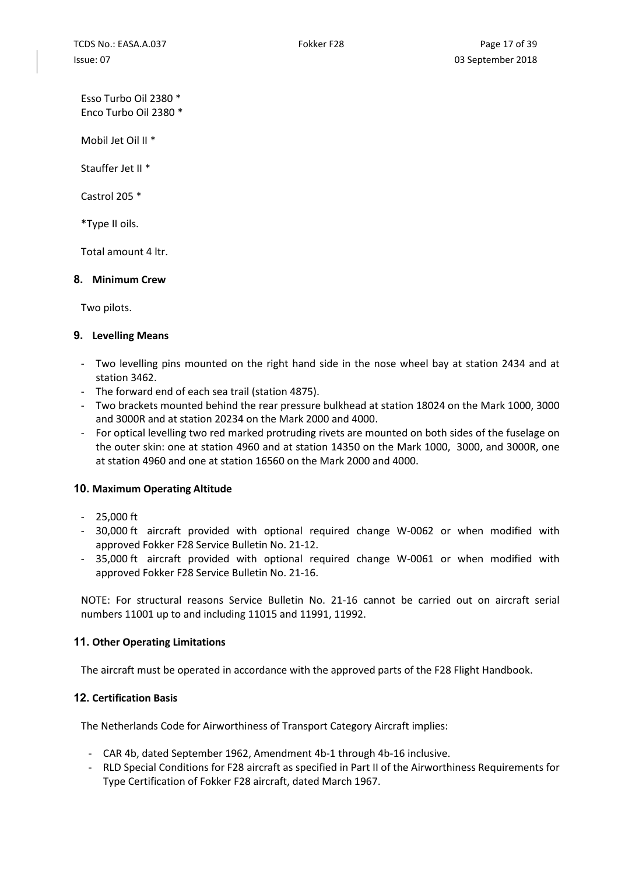Esso Turbo Oil 2380 \* Enco Turbo Oil 2380 \*

Mobil Jet Oil II \*

Stauffer Jet II \*

Castrol 205 \*

\*Type II oils.

Total amount 4 ltr.

## **8. Minimum Crew**

Two pilots.

#### **9. Levelling Means**

- Two levelling pins mounted on the right hand side in the nose wheel bay at station 2434 and at station 3462.
- The forward end of each sea trail (station 4875).
- Two brackets mounted behind the rear pressure bulkhead at station 18024 on the Mark 1000, 3000 and 3000R and at station 20234 on the Mark 2000 and 4000.
- For optical levelling two red marked protruding rivets are mounted on both sides of the fuselage on the outer skin: one at station 4960 and at station 14350 on the Mark 1000, 3000, and 3000R, one at station 4960 and one at station 16560 on the Mark 2000 and 4000.

## **10. Maximum Operating Altitude**

- 25,000 ft
- 30,000 ft aircraft provided with optional required change W-0062 or when modified with approved Fokker F28 Service Bulletin No. 21-12.
- 35,000 ft aircraft provided with optional required change W-0061 or when modified with approved Fokker F28 Service Bulletin No. 21-16.

NOTE: For structural reasons Service Bulletin No. 21-16 cannot be carried out on aircraft serial numbers 11001 up to and including 11015 and 11991, 11992.

#### **11. Other Operating Limitations**

The aircraft must be operated in accordance with the approved parts of the F28 Flight Handbook.

## **12. Certification Basis**

The Netherlands Code for Airworthiness of Transport Category Aircraft implies:

- CAR 4b, dated September 1962, Amendment 4b-1 through 4b-16 inclusive.
- RLD Special Conditions for F28 aircraft as specified in Part II of the Airworthiness Requirements for Type Certification of Fokker F28 aircraft, dated March 1967.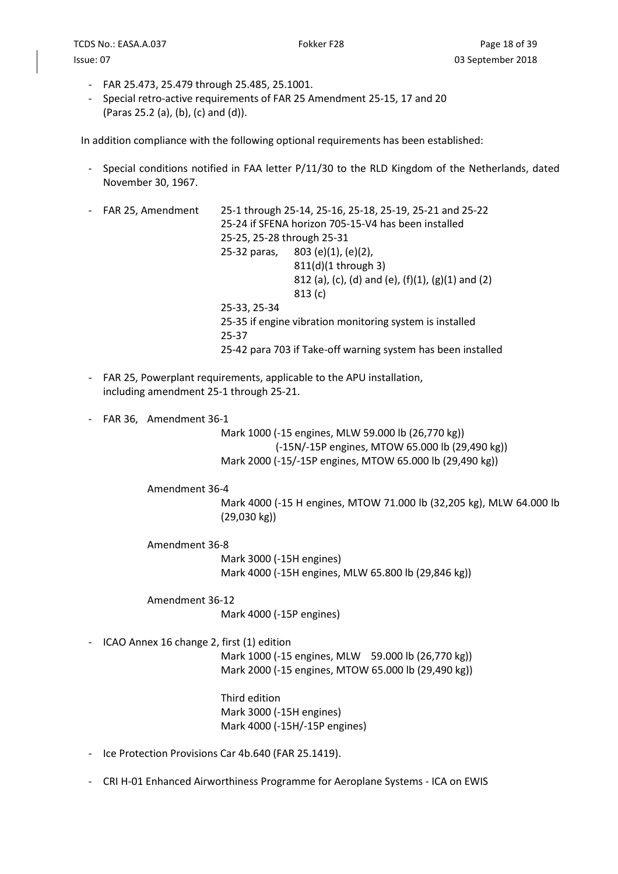- FAR 25.473, 25.479 through 25.485, 25.1001.
- Special retro-active requirements of FAR 25 Amendment 25-15, 17 and 20 (Paras 25.2 (a), (b), (c) and (d)).

In addition compliance with the following optional requirements has been established:

- Special conditions notified in FAA letter P/11/30 to the RLD Kingdom of the Netherlands, dated November 30, 1967.
- FAR 25, Amendment 25-1 through 25-14, 25-16, 25-18, 25-19, 25-21 and 25-22 25-24 if SFENA horizon 705-15-V4 has been installed 25-25, 25-28 through 25-31 25-32 paras, 803 (e)(1), (e)(2), 811(d)(1 through 3) 812 (a), (c), (d) and (e),  $(f)(1)$ ,  $(g)(1)$  and  $(2)$  813 (c) 25-33, 25-34 25-35 if engine vibration monitoring system is installed 25-37 25-42 para 703 if Take-off warning system has been installed
- FAR 25, Powerplant requirements, applicable to the APU installation, including amendment 25-1 through 25-21.
- FAR 36, Amendment 36-1

 Mark 1000 (-15 engines, MLW 59.000 lb (26,770 kg)) (-15N/-15P engines, MTOW 65.000 lb (29,490 kg)) Mark 2000 (-15/-15P engines, MTOW 65.000 lb (29,490 kg))

Amendment 36-4

Mark 4000 (-15 H engines, MTOW 71.000 lb (32,205 kg), MLW 64.000 lb (29,030 kg))

Amendment 36-8

Mark 3000 (-15H engines) Mark 4000 (-15H engines, MLW 65.800 lb (29,846 kg))

Amendment 36-12

Mark 4000 (-15P engines)

- ICAO Annex 16 change 2, first (1) edition

 Mark 1000 (-15 engines, MLW 59.000 lb (26,770 kg)) Mark 2000 (-15 engines, MTOW 65.000 lb (29,490 kg))

Third edition Mark 3000 (-15H engines) Mark 4000 (-15H/-15P engines)

- Ice Protection Provisions Car 4b.640 (FAR 25.1419).
- CRI H-01 Enhanced Airworthiness Programme for Aeroplane Systems ICA on EWIS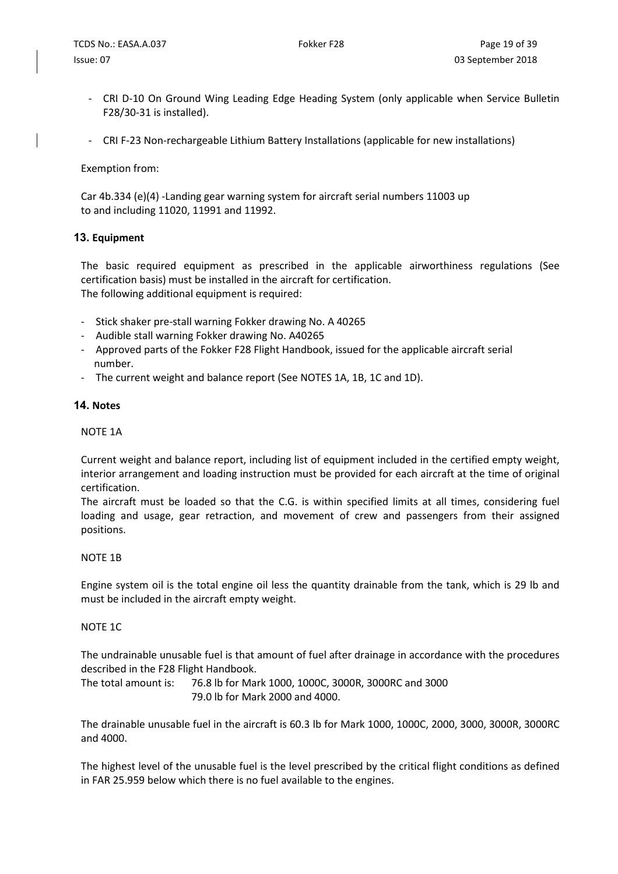- CRI D-10 On Ground Wing Leading Edge Heading System (only applicable when Service Bulletin F28/30-31 is installed).
- CRI F-23 Non-rechargeable Lithium Battery Installations (applicable for new installations)

Exemption from:

Car 4b.334 (e)(4) -Landing gear warning system for aircraft serial numbers 11003 up to and including 11020, 11991 and 11992.

## **13. Equipment**

The basic required equipment as prescribed in the applicable airworthiness regulations (See certification basis) must be installed in the aircraft for certification. The following additional equipment is required:

- Stick shaker pre-stall warning Fokker drawing No. A 40265
- Audible stall warning Fokker drawing No. A40265
- Approved parts of the Fokker F28 Flight Handbook, issued for the applicable aircraft serial number.
- The current weight and balance report (See NOTES 1A, 1B, 1C and 1D).

## **14. Notes**

NOTE 1A

Current weight and balance report, including list of equipment included in the certified empty weight, interior arrangement and loading instruction must be provided for each aircraft at the time of original certification.

The aircraft must be loaded so that the C.G. is within specified limits at all times, considering fuel loading and usage, gear retraction, and movement of crew and passengers from their assigned positions.

#### NOTE 1B

Engine system oil is the total engine oil less the quantity drainable from the tank, which is 29 lb and must be included in the aircraft empty weight.

#### NOTE 1C

The undrainable unusable fuel is that amount of fuel after drainage in accordance with the procedures described in the F28 Flight Handbook.

The total amount is: 76.8 lb for Mark 1000, 1000C, 3000R, 3000RC and 3000 79.0 lb for Mark 2000 and 4000.

The drainable unusable fuel in the aircraft is 60.3 lb for Mark 1000, 1000C, 2000, 3000, 3000R, 3000RC and 4000.

The highest level of the unusable fuel is the level prescribed by the critical flight conditions as defined in FAR 25.959 below which there is no fuel available to the engines.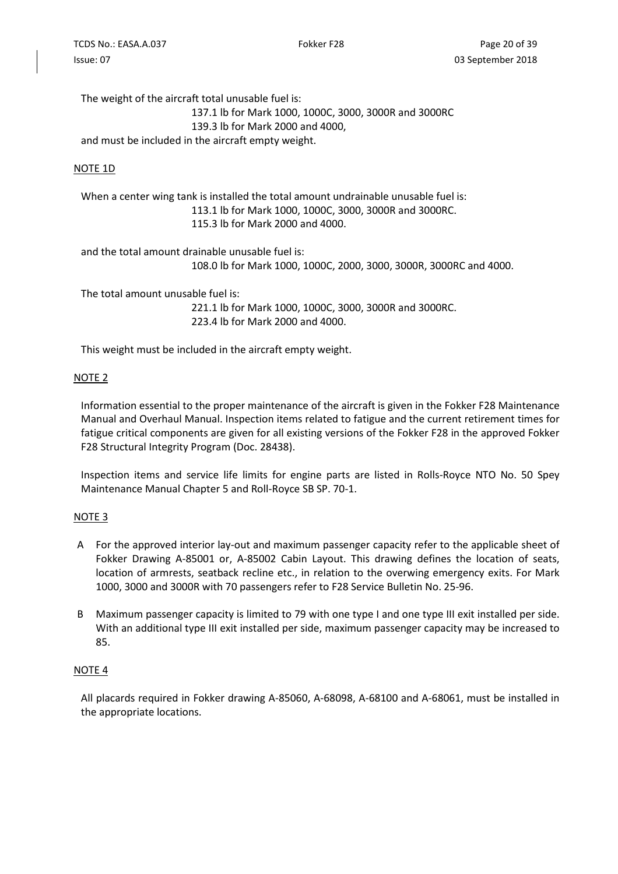The weight of the aircraft total unusable fuel is: 137.1 lb for Mark 1000, 1000C, 3000, 3000R and 3000RC 139.3 lb for Mark 2000 and 4000, and must be included in the aircraft empty weight.

#### NOTE 1D

When a center wing tank is installed the total amount undrainable unusable fuel is: 113.1 lb for Mark 1000, 1000C, 3000, 3000R and 3000RC. 115.3 lb for Mark 2000 and 4000.

and the total amount drainable unusable fuel is: 108.0 lb for Mark 1000, 1000C, 2000, 3000, 3000R, 3000RC and 4000.

The total amount unusable fuel is: 221.1 lb for Mark 1000, 1000C, 3000, 3000R and 3000RC. 223.4 lb for Mark 2000 and 4000.

This weight must be included in the aircraft empty weight.

#### NOTE 2

Information essential to the proper maintenance of the aircraft is given in the Fokker F28 Maintenance Manual and Overhaul Manual. Inspection items related to fatigue and the current retirement times for fatigue critical components are given for all existing versions of the Fokker F28 in the approved Fokker F28 Structural Integrity Program (Doc. 28438).

Inspection items and service life limits for engine parts are listed in Rolls-Royce NTO No. 50 Spey Maintenance Manual Chapter 5 and Roll-Royce SB SP. 70-1.

#### NOTE 3

- A For the approved interior lay-out and maximum passenger capacity refer to the applicable sheet of Fokker Drawing A-85001 or, A-85002 Cabin Layout. This drawing defines the location of seats, location of armrests, seatback recline etc., in relation to the overwing emergency exits. For Mark 1000, 3000 and 3000R with 70 passengers refer to F28 Service Bulletin No. 25-96.
- B Maximum passenger capacity is limited to 79 with one type I and one type III exit installed per side. With an additional type III exit installed per side, maximum passenger capacity may be increased to 85.

#### NOTE 4

All placards required in Fokker drawing A-85060, A-68098, A-68100 and A-68061, must be installed in the appropriate locations.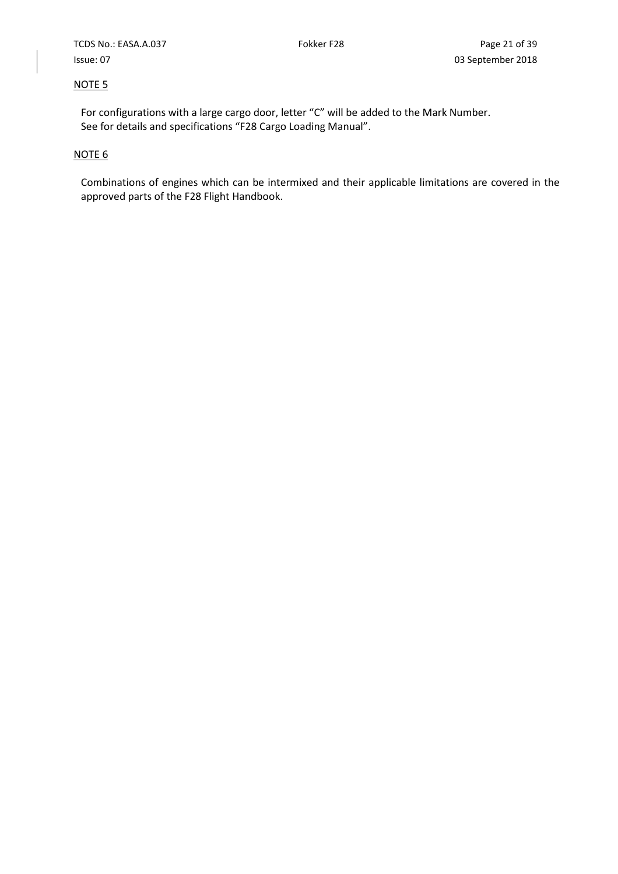#### NOTE 5

For configurations with a large cargo door, letter "C" will be added to the Mark Number. See for details and specifications "F28 Cargo Loading Manual".

## NOTE 6

Combinations of engines which can be intermixed and their applicable limitations are covered in the approved parts of the F28 Flight Handbook.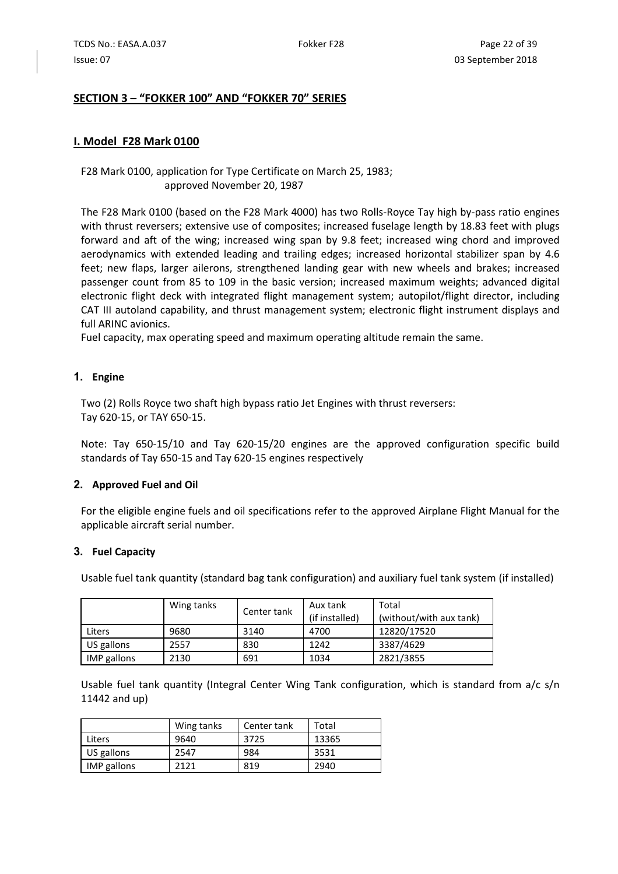## **SECTION 3 – "FOKKER 100" AND "FOKKER 70" SERIES**

## **I. Model F28 Mark 0100**

## F28 Mark 0100, application for Type Certificate on March 25, 1983; approved November 20, 1987

The F28 Mark 0100 (based on the F28 Mark 4000) has two Rolls-Royce Tay high by-pass ratio engines with thrust reversers; extensive use of composites; increased fuselage length by 18.83 feet with plugs forward and aft of the wing; increased wing span by 9.8 feet; increased wing chord and improved aerodynamics with extended leading and trailing edges; increased horizontal stabilizer span by 4.6 feet; new flaps, larger ailerons, strengthened landing gear with new wheels and brakes; increased passenger count from 85 to 109 in the basic version; increased maximum weights; advanced digital electronic flight deck with integrated flight management system; autopilot/flight director, including CAT III autoland capability, and thrust management system; electronic flight instrument displays and full ARINC avionics.

Fuel capacity, max operating speed and maximum operating altitude remain the same.

## **1. Engine**

Two (2) Rolls Royce two shaft high bypass ratio Jet Engines with thrust reversers: Tay 620-15, or TAY 650-15.

Note: Tay 650-15/10 and Tay 620-15/20 engines are the approved configuration specific build standards of Tay 650-15 and Tay 620-15 engines respectively

#### **2. Approved Fuel and Oil**

For the eligible engine fuels and oil specifications refer to the approved Airplane Flight Manual for the applicable aircraft serial number.

#### **3. Fuel Capacity**

Usable fuel tank quantity (standard bag tank configuration) and auxiliary fuel tank system (if installed)

|                    | Wing tanks | Center tank | Aux tank<br>(if installed) | Total<br>(without/with aux tank) |
|--------------------|------------|-------------|----------------------------|----------------------------------|
| Liters             | 9680       | 3140        | 4700                       | 12820/17520                      |
| US gallons         | 2557       | 830         | 1242                       | 3387/4629                        |
| <b>IMP</b> gallons | 2130       | 691         | 1034                       | 2821/3855                        |

Usable fuel tank quantity (Integral Center Wing Tank configuration, which is standard from a/c s/n 11442 and up)

|                    | Wing tanks | Center tank | Total |
|--------------------|------------|-------------|-------|
| Liters             | 9640       | 3725        | 13365 |
| US gallons         | 2547       | 984         | 3531  |
| <b>IMP</b> gallons | 2121       | 819         | 2940  |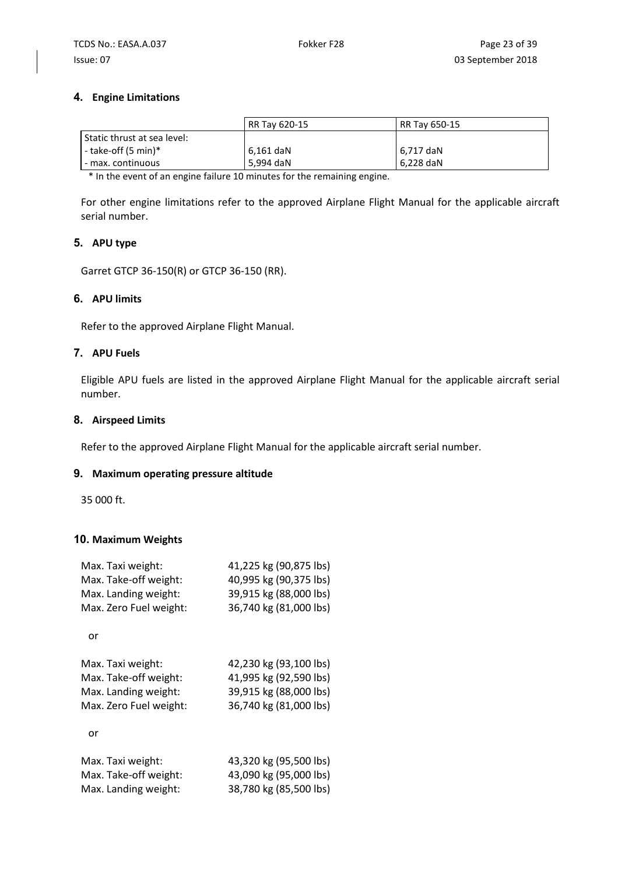#### **4. Engine Limitations**

|                               | RR Tay 620-15 | RR Tay 650-15 |
|-------------------------------|---------------|---------------|
| l Static thrust at sea level: |               |               |
| l - take-off (5 min)*         | 6,161 daN     | 6,717 daN     |
| l - max. continuous           | 5,994 daN     | 6.228 daN     |

\* In the event of an engine failure 10 minutes for the remaining engine.

For other engine limitations refer to the approved Airplane Flight Manual for the applicable aircraft serial number.

#### **5. APU type**

Garret GTCP 36-150(R) or GTCP 36-150 (RR).

#### **6. APU limits**

Refer to the approved Airplane Flight Manual.

#### **7. APU Fuels**

Eligible APU fuels are listed in the approved Airplane Flight Manual for the applicable aircraft serial number.

#### **8. Airspeed Limits**

Refer to the approved Airplane Flight Manual for the applicable aircraft serial number.

#### **9. Maximum operating pressure altitude**

35 000 ft.

#### **10. Maximum Weights**

| Max. Taxi weight:      | 41,225 kg (90,875 lbs) |
|------------------------|------------------------|
| Max. Take-off weight:  | 40,995 kg (90,375 lbs) |
| Max. Landing weight:   | 39,915 kg (88,000 lbs) |
| Max. Zero Fuel weight: | 36,740 kg (81,000 lbs) |
| or                     |                        |
| Max. Taxi weight:      | 42,230 kg (93,100 lbs) |
| Max. Take-off weight:  | 41,995 kg (92,590 lbs) |
| Max. Landing weight:   | 39,915 kg (88,000 lbs) |
| Max. Zero Fuel weight: | 36,740 kg (81,000 lbs) |
| or                     |                        |
| Max. Taxi weight:      | 43,320 kg (95,500 lbs) |
| Max. Take-off weight:  | 43,090 kg (95,000 lbs) |

Max. Landing weight: 38,780 kg (85,500 lbs)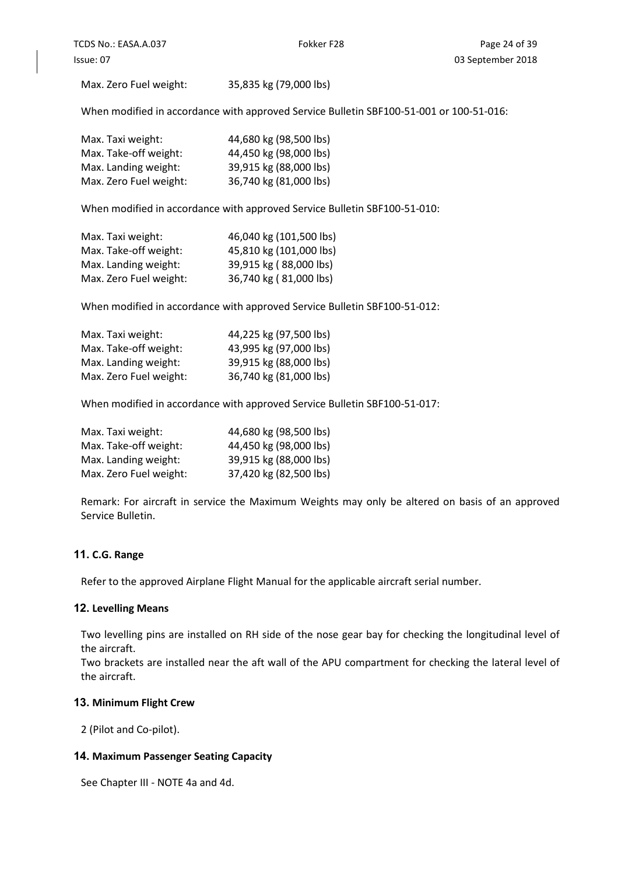Max. Zero Fuel weight: 35,835 kg (79,000 lbs)

When modified in accordance with approved Service Bulletin SBF100-51-001 or 100-51-016:

| Max. Taxi weight:      | 44,680 kg (98,500 lbs) |
|------------------------|------------------------|
| Max. Take-off weight:  | 44,450 kg (98,000 lbs) |
| Max. Landing weight:   | 39,915 kg (88,000 lbs) |
| Max. Zero Fuel weight: | 36,740 kg (81,000 lbs) |

When modified in accordance with approved Service Bulletin SBF100-51-010:

| Max. Taxi weight:      | 46,040 kg (101,500 lbs) |
|------------------------|-------------------------|
| Max. Take-off weight:  | 45,810 kg (101,000 lbs) |
| Max. Landing weight:   | 39,915 kg (88,000 lbs)  |
| Max. Zero Fuel weight: | 36,740 kg (81,000 lbs)  |

When modified in accordance with approved Service Bulletin SBF100-51-012:

| Max. Taxi weight:      | 44,225 kg (97,500 lbs) |
|------------------------|------------------------|
| Max. Take-off weight:  | 43,995 kg (97,000 lbs) |
| Max. Landing weight:   | 39,915 kg (88,000 lbs) |
| Max. Zero Fuel weight: | 36,740 kg (81,000 lbs) |

When modified in accordance with approved Service Bulletin SBF100-51-017:

| Max. Taxi weight:      | 44,680 kg (98,500 lbs) |
|------------------------|------------------------|
| Max. Take-off weight:  | 44,450 kg (98,000 lbs) |
| Max. Landing weight:   | 39,915 kg (88,000 lbs) |
| Max. Zero Fuel weight: | 37,420 kg (82,500 lbs) |

Remark: For aircraft in service the Maximum Weights may only be altered on basis of an approved Service Bulletin.

#### **11. C.G. Range**

Refer to the approved Airplane Flight Manual for the applicable aircraft serial number.

#### **12. Levelling Means**

Two levelling pins are installed on RH side of the nose gear bay for checking the longitudinal level of the aircraft.

Two brackets are installed near the aft wall of the APU compartment for checking the lateral level of the aircraft.

#### **13. Minimum Flight Crew**

2 (Pilot and Co-pilot).

#### **14. Maximum Passenger Seating Capacity**

See Chapter III - NOTE 4a and 4d.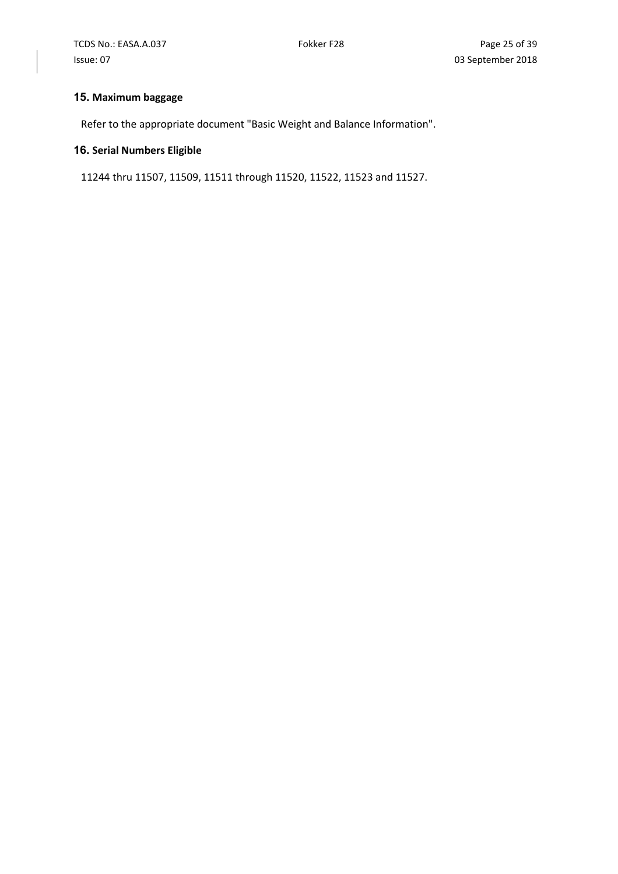## **15. Maximum baggage**

Refer to the appropriate document "Basic Weight and Balance Information".

## **16. Serial Numbers Eligible**

11244 thru 11507, 11509, 11511 through 11520, 11522, 11523 and 11527.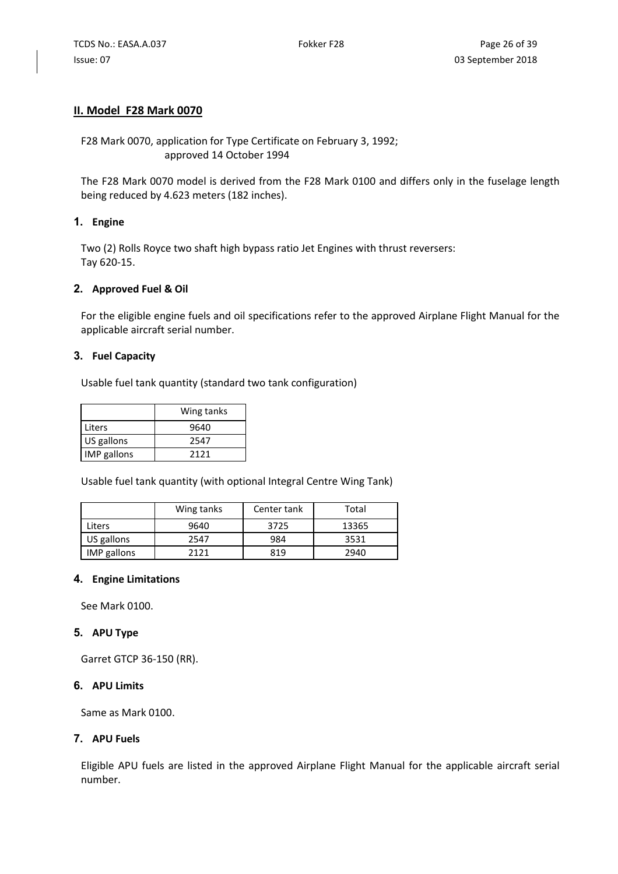## **II. Model F28 Mark 0070**

F28 Mark 0070, application for Type Certificate on February 3, 1992; approved 14 October 1994

The F28 Mark 0070 model is derived from the F28 Mark 0100 and differs only in the fuselage length being reduced by 4.623 meters (182 inches).

#### **1. Engine**

Two (2) Rolls Royce two shaft high bypass ratio Jet Engines with thrust reversers: Tay 620-15.

#### **2. Approved Fuel & Oil**

For the eligible engine fuels and oil specifications refer to the approved Airplane Flight Manual for the applicable aircraft serial number.

#### **3. Fuel Capacity**

Usable fuel tank quantity (standard two tank configuration)

|                    | Wing tanks |
|--------------------|------------|
| Liters             | 9640       |
| US gallons         | 2547       |
| <b>IMP</b> gallons | 2121       |

Usable fuel tank quantity (with optional Integral Centre Wing Tank)

|                    | Wing tanks | Center tank | Total |
|--------------------|------------|-------------|-------|
| Liters             | 9640       | 3725        | 13365 |
| US gallons         | 2547       | 984         | 3531  |
| <b>IMP</b> gallons | 2121       | 819         | 2940  |

#### **4. Engine Limitations**

See Mark 0100.

#### **5. APU Type**

Garret GTCP 36-150 (RR).

#### **6. APU Limits**

Same as Mark 0100.

## **7. APU Fuels**

Eligible APU fuels are listed in the approved Airplane Flight Manual for the applicable aircraft serial number.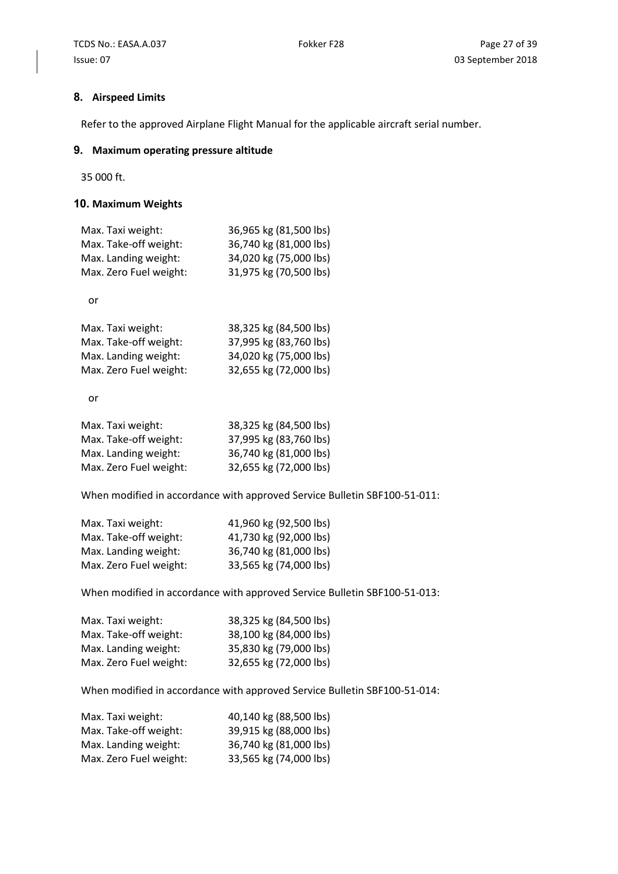## **8. Airspeed Limits**

Refer to the approved Airplane Flight Manual for the applicable aircraft serial number.

#### **9. Maximum operating pressure altitude**

35 000 ft.

#### **10. Maximum Weights**

| 36,965 kg (81,500 lbs) |
|------------------------|
| 36,740 kg (81,000 lbs) |
| 34,020 kg (75,000 lbs) |
| 31,975 kg (70,500 lbs) |
|                        |

or

| Max. Taxi weight:      | 38,325 kg (84,500 lbs) |
|------------------------|------------------------|
| Max. Take-off weight:  | 37,995 kg (83,760 lbs) |
| Max. Landing weight:   | 34,020 kg (75,000 lbs) |
| Max. Zero Fuel weight: | 32,655 kg (72,000 lbs) |

or

| Max. Taxi weight:      | 38,325 kg (84,500 lbs) |
|------------------------|------------------------|
| Max. Take-off weight:  | 37,995 kg (83,760 lbs) |
| Max. Landing weight:   | 36,740 kg (81,000 lbs) |
| Max. Zero Fuel weight: | 32,655 kg (72,000 lbs) |

When modified in accordance with approved Service Bulletin SBF100-51-011:

| Max. Taxi weight:      | 41,960 kg (92,500 lbs) |
|------------------------|------------------------|
| Max. Take-off weight:  | 41,730 kg (92,000 lbs) |
| Max. Landing weight:   | 36,740 kg (81,000 lbs) |
| Max. Zero Fuel weight: | 33,565 kg (74,000 lbs) |

When modified in accordance with approved Service Bulletin SBF100-51-013:

| Max. Taxi weight:      | 38,325 kg (84,500 lbs) |
|------------------------|------------------------|
| Max. Take-off weight:  | 38,100 kg (84,000 lbs) |
| Max. Landing weight:   | 35,830 kg (79,000 lbs) |
| Max. Zero Fuel weight: | 32,655 kg (72,000 lbs) |

When modified in accordance with approved Service Bulletin SBF100-51-014:

| Max. Taxi weight:      | 40,140 kg (88,500 lbs) |
|------------------------|------------------------|
| Max. Take-off weight:  | 39,915 kg (88,000 lbs) |
| Max. Landing weight:   | 36,740 kg (81,000 lbs) |
| Max. Zero Fuel weight: | 33,565 kg (74,000 lbs) |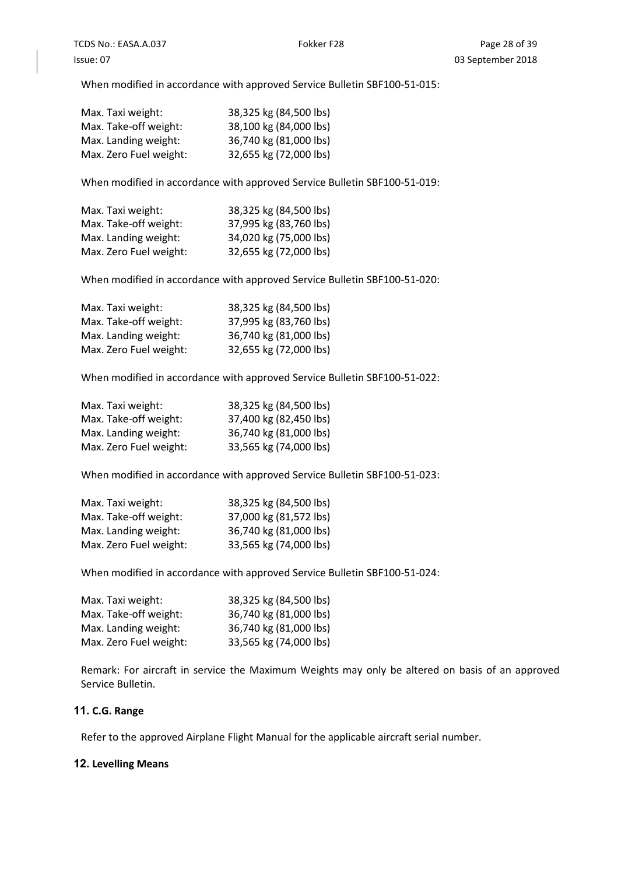When modified in accordance with approved Service Bulletin SBF100-51-015:

| Max. Taxi weight:      | 38,325 kg (84,500 lbs) |
|------------------------|------------------------|
| Max. Take-off weight:  | 38,100 kg (84,000 lbs) |
| Max. Landing weight:   | 36,740 kg (81,000 lbs) |
| Max. Zero Fuel weight: | 32,655 kg (72,000 lbs) |

When modified in accordance with approved Service Bulletin SBF100-51-019:

| Max. Taxi weight:      | 38,325 kg (84,500 lbs) |
|------------------------|------------------------|
| Max. Take-off weight:  | 37,995 kg (83,760 lbs) |
| Max. Landing weight:   | 34,020 kg (75,000 lbs) |
| Max. Zero Fuel weight: | 32,655 kg (72,000 lbs) |

When modified in accordance with approved Service Bulletin SBF100-51-020:

| Max. Taxi weight:      | 38,325 kg (84,500 lbs) |
|------------------------|------------------------|
| Max. Take-off weight:  | 37,995 kg (83,760 lbs) |
| Max. Landing weight:   | 36,740 kg (81,000 lbs) |
| Max. Zero Fuel weight: | 32,655 kg (72,000 lbs) |

When modified in accordance with approved Service Bulletin SBF100-51-022:

| Max. Taxi weight:      | 38,325 kg (84,500 lbs) |
|------------------------|------------------------|
| Max. Take-off weight:  | 37,400 kg (82,450 lbs) |
| Max. Landing weight:   | 36,740 kg (81,000 lbs) |
| Max. Zero Fuel weight: | 33,565 kg (74,000 lbs) |

When modified in accordance with approved Service Bulletin SBF100-51-023:

| Max. Taxi weight:      | 38,325 kg (84,500 lbs) |
|------------------------|------------------------|
| Max. Take-off weight:  | 37,000 kg (81,572 lbs) |
| Max. Landing weight:   | 36,740 kg (81,000 lbs) |
| Max. Zero Fuel weight: | 33,565 kg (74,000 lbs) |

When modified in accordance with approved Service Bulletin SBF100-51-024:

| Max. Taxi weight:      | 38,325 kg (84,500 lbs) |
|------------------------|------------------------|
| Max. Take-off weight:  | 36,740 kg (81,000 lbs) |
| Max. Landing weight:   | 36,740 kg (81,000 lbs) |
| Max. Zero Fuel weight: | 33,565 kg (74,000 lbs) |

Remark: For aircraft in service the Maximum Weights may only be altered on basis of an approved Service Bulletin.

#### **11. C.G. Range**

Refer to the approved Airplane Flight Manual for the applicable aircraft serial number.

#### **12. Levelling Means**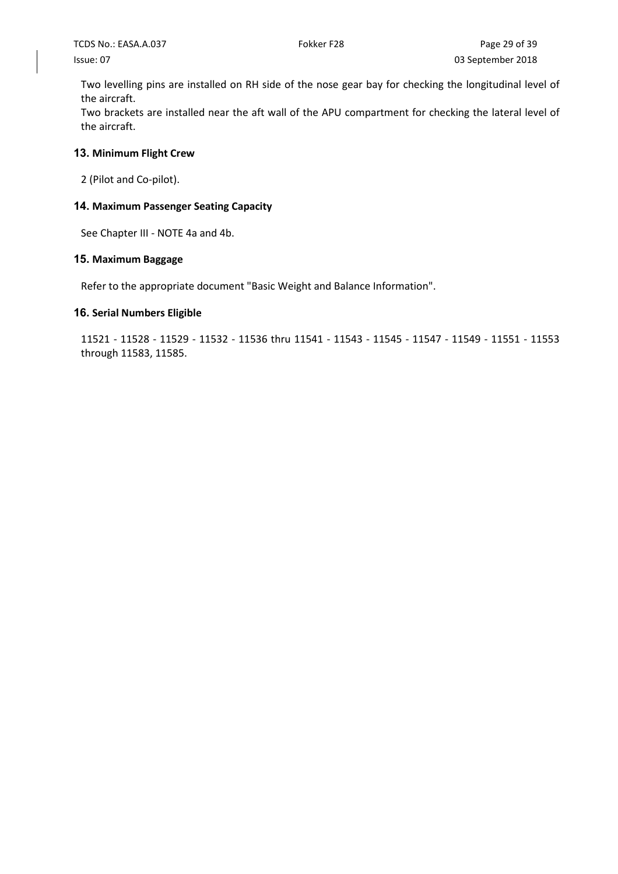Two levelling pins are installed on RH side of the nose gear bay for checking the longitudinal level of the aircraft.

Two brackets are installed near the aft wall of the APU compartment for checking the lateral level of the aircraft.

## **13. Minimum Flight Crew**

2 (Pilot and Co-pilot).

#### **14. Maximum Passenger Seating Capacity**

See Chapter III - NOTE 4a and 4b.

#### **15. Maximum Baggage**

Refer to the appropriate document "Basic Weight and Balance Information".

## **16. Serial Numbers Eligible**

11521 - 11528 - 11529 - 11532 - 11536 thru 11541 - 11543 - 11545 - 11547 - 11549 - 11551 - 11553 through 11583, 11585.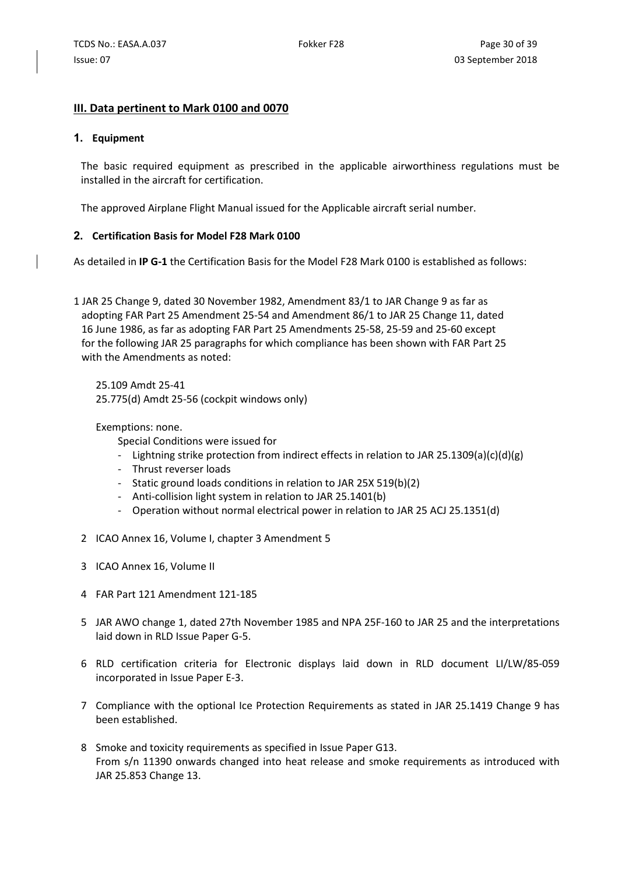## **III. Data pertinent to Mark 0100 and 0070**

#### **1. Equipment**

The basic required equipment as prescribed in the applicable airworthiness regulations must be installed in the aircraft for certification.

The approved Airplane Flight Manual issued for the Applicable aircraft serial number.

#### **2. Certification Basis for Model F28 Mark 0100**

As detailed in **IP G-1** the Certification Basis for the Model F28 Mark 0100 is established as follows:

1 JAR 25 Change 9, dated 30 November 1982, Amendment 83/1 to JAR Change 9 as far as adopting FAR Part 25 Amendment 25-54 and Amendment 86/1 to JAR 25 Change 11, dated 16 June 1986, as far as adopting FAR Part 25 Amendments 25-58, 25-59 and 25-60 except for the following JAR 25 paragraphs for which compliance has been shown with FAR Part 25 with the Amendments as noted:

 25.109 Amdt 25-41 25.775(d) Amdt 25-56 (cockpit windows only)

Exemptions: none.

Special Conditions were issued for

- Lightning strike protection from indirect effects in relation to JAR 25.1309(a)(c)(d)(g)
- Thrust reverser loads
- Static ground loads conditions in relation to JAR 25X 519(b)(2)
- Anti-collision light system in relation to JAR 25.1401(b)
- Operation without normal electrical power in relation to JAR 25 ACJ 25.1351(d)
- 2 ICAO Annex 16, Volume I, chapter 3 Amendment 5
- 3 ICAO Annex 16, Volume II
- 4 FAR Part 121 Amendment 121-185
- 5 JAR AWO change 1, dated 27th November 1985 and NPA 25F-160 to JAR 25 and the interpretations laid down in RLD Issue Paper G-5.
- 6 RLD certification criteria for Electronic displays laid down in RLD document LI/LW/85-059 incorporated in Issue Paper E-3.
- 7 Compliance with the optional Ice Protection Requirements as stated in JAR 25.1419 Change 9 has been established.
- 8 Smoke and toxicity requirements as specified in Issue Paper G13. From s/n 11390 onwards changed into heat release and smoke requirements as introduced with JAR 25.853 Change 13.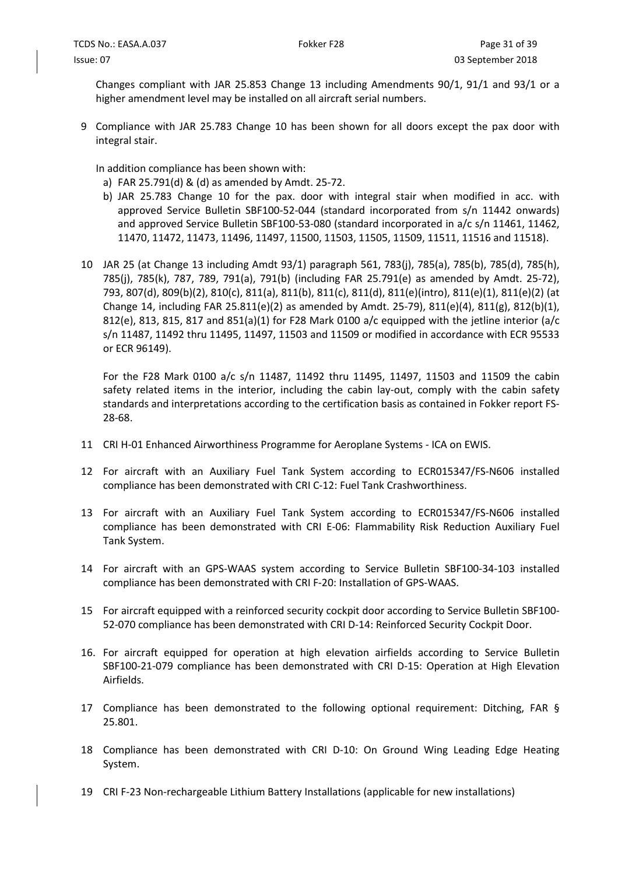Changes compliant with JAR 25.853 Change 13 including Amendments 90/1, 91/1 and 93/1 or a higher amendment level may be installed on all aircraft serial numbers.

9 Compliance with JAR 25.783 Change 10 has been shown for all doors except the pax door with integral stair.

In addition compliance has been shown with:

- a) FAR 25.791(d) & (d) as amended by Amdt. 25-72.
- b) JAR 25.783 Change 10 for the pax. door with integral stair when modified in acc. with approved Service Bulletin SBF100-52-044 (standard incorporated from s/n 11442 onwards) and approved Service Bulletin SBF100-53-080 (standard incorporated in a/c s/n 11461, 11462, 11470, 11472, 11473, 11496, 11497, 11500, 11503, 11505, 11509, 11511, 11516 and 11518).
- 10 JAR 25 (at Change 13 including Amdt 93/1) paragraph 561, 783(j), 785(a), 785(b), 785(d), 785(h), 785(j), 785(k), 787, 789, 791(a), 791(b) (including FAR 25.791(e) as amended by Amdt. 25-72), 793, 807(d), 809(b)(2), 810(c), 811(a), 811(b), 811(c), 811(d), 811(e)(intro), 811(e)(1), 811(e)(2) (at Change 14, including FAR 25.811(e)(2) as amended by Amdt. 25-79), 811(e)(4), 811(g), 812(b)(1), 812(e), 813, 815, 817 and 851(a)(1) for F28 Mark 0100 a/c equipped with the jetline interior (a/c s/n 11487, 11492 thru 11495, 11497, 11503 and 11509 or modified in accordance with ECR 95533 or ECR 96149).

For the F28 Mark 0100 a/c s/n 11487, 11492 thru 11495, 11497, 11503 and 11509 the cabin safety related items in the interior, including the cabin lay-out, comply with the cabin safety standards and interpretations according to the certification basis as contained in Fokker report FS-28-68.

- 11 CRI H-01 Enhanced Airworthiness Programme for Aeroplane Systems ICA on EWIS.
- 12 For aircraft with an Auxiliary Fuel Tank System according to ECR015347/FS-N606 installed compliance has been demonstrated with CRI C-12: Fuel Tank Crashworthiness.
- 13 For aircraft with an Auxiliary Fuel Tank System according to ECR015347/FS-N606 installed compliance has been demonstrated with CRI E-06: Flammability Risk Reduction Auxiliary Fuel Tank System.
- 14 For aircraft with an GPS-WAAS system according to Service Bulletin SBF100-34-103 installed compliance has been demonstrated with CRI F-20: Installation of GPS-WAAS.
- 15 For aircraft equipped with a reinforced security cockpit door according to Service Bulletin SBF100- 52-070 compliance has been demonstrated with CRI D-14: Reinforced Security Cockpit Door.
- 16. For aircraft equipped for operation at high elevation airfields according to Service Bulletin SBF100-21-079 compliance has been demonstrated with CRI D-15: Operation at High Elevation Airfields.
- 17 Compliance has been demonstrated to the following optional requirement: Ditching, FAR § 25.801.
- 18 Compliance has been demonstrated with CRI D-10: On Ground Wing Leading Edge Heating System.
- 19 CRI F-23 Non-rechargeable Lithium Battery Installations (applicable for new installations)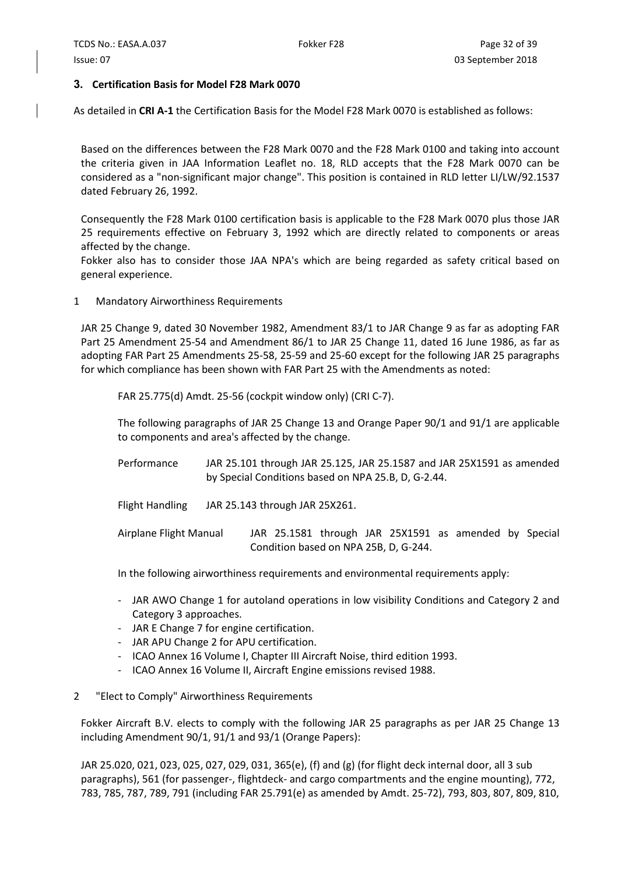## **3. Certification Basis for Model F28 Mark 0070**

As detailed in **CRI A-1** the Certification Basis for the Model F28 Mark 0070 is established as follows:

Based on the differences between the F28 Mark 0070 and the F28 Mark 0100 and taking into account the criteria given in JAA Information Leaflet no. 18, RLD accepts that the F28 Mark 0070 can be considered as a "non-significant major change". This position is contained in RLD letter LI/LW/92.1537 dated February 26, 1992.

Consequently the F28 Mark 0100 certification basis is applicable to the F28 Mark 0070 plus those JAR 25 requirements effective on February 3, 1992 which are directly related to components or areas affected by the change.

Fokker also has to consider those JAA NPA's which are being regarded as safety critical based on general experience.

1 Mandatory Airworthiness Requirements

JAR 25 Change 9, dated 30 November 1982, Amendment 83/1 to JAR Change 9 as far as adopting FAR Part 25 Amendment 25-54 and Amendment 86/1 to JAR 25 Change 11, dated 16 June 1986, as far as adopting FAR Part 25 Amendments 25-58, 25-59 and 25-60 except for the following JAR 25 paragraphs for which compliance has been shown with FAR Part 25 with the Amendments as noted:

FAR 25.775(d) Amdt. 25-56 (cockpit window only) (CRI C-7).

The following paragraphs of JAR 25 Change 13 and Orange Paper 90/1 and 91/1 are applicable to components and area's affected by the change.

- Performance JAR 25.101 through JAR 25.125, JAR 25.1587 and JAR 25X1591 as amended by Special Conditions based on NPA 25.B, D, G-2.44.
- Flight Handling JAR 25.143 through JAR 25X261.

| Airplane Flight Manual |  |  |                                       | JAR 25.1581 through JAR 25X1591 as amended by Special |  |
|------------------------|--|--|---------------------------------------|-------------------------------------------------------|--|
|                        |  |  | Condition based on NPA 25B, D, G-244. |                                                       |  |

In the following airworthiness requirements and environmental requirements apply:

- JAR AWO Change 1 for autoland operations in low visibility Conditions and Category 2 and Category 3 approaches.
- JAR E Change 7 for engine certification.
- JAR APU Change 2 for APU certification.
- ICAO Annex 16 Volume I, Chapter III Aircraft Noise, third edition 1993.
- ICAO Annex 16 Volume II, Aircraft Engine emissions revised 1988.
- 2 "Elect to Comply" Airworthiness Requirements

Fokker Aircraft B.V. elects to comply with the following JAR 25 paragraphs as per JAR 25 Change 13 including Amendment 90/1, 91/1 and 93/1 (Orange Papers):

JAR 25.020, 021, 023, 025, 027, 029, 031, 365(e), (f) and (g) (for flight deck internal door, all 3 sub paragraphs), 561 (for passenger-, flightdeck- and cargo compartments and the engine mounting), 772, 783, 785, 787, 789, 791 (including FAR 25.791(e) as amended by Amdt. 25-72), 793, 803, 807, 809, 810,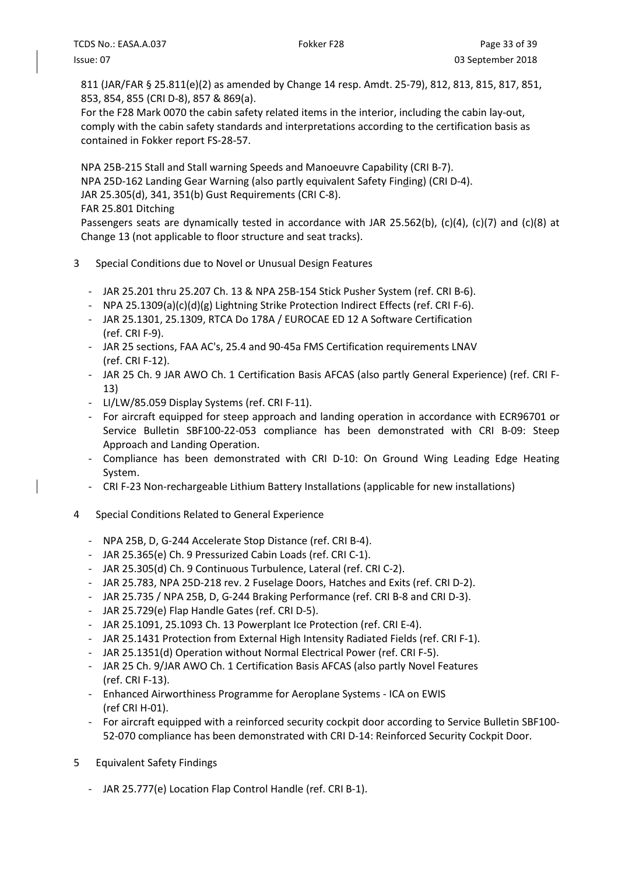811 (JAR/FAR § 25.811(e)(2) as amended by Change 14 resp. Amdt. 25-79), 812, 813, 815, 817, 851, 853, 854, 855 (CRI D-8), 857 & 869(a).

For the F28 Mark 0070 the cabin safety related items in the interior, including the cabin lay-out, comply with the cabin safety standards and interpretations according to the certification basis as contained in Fokker report FS-28-57.

NPA 25B-215 Stall and Stall warning Speeds and Manoeuvre Capability (CRI B-7). NPA 25D-162 Landing Gear Warning (also partly equivalent Safety Finding) (CRI D-4). JAR 25.305(d), 341, 351(b) Gust Requirements (CRI C-8).

FAR 25.801 Ditching

Passengers seats are dynamically tested in accordance with JAR 25.562(b), (c)(4), (c)(7) and (c)(8) at Change 13 (not applicable to floor structure and seat tracks).

- 3 Special Conditions due to Novel or Unusual Design Features
	- JAR 25.201 thru 25.207 Ch. 13 & NPA 25B-154 Stick Pusher System (ref. CRI B-6).
	- NPA 25.1309(a)(c)(d)(g) Lightning Strike Protection Indirect Effects (ref. CRI F-6).
	- JAR 25.1301, 25.1309, RTCA Do 178A / EUROCAE ED 12 A Software Certification (ref. CRI F-9).
	- JAR 25 sections, FAA AC's, 25.4 and 90-45a FMS Certification requirements LNAV (ref. CRI F-12).
	- JAR 25 Ch. 9 JAR AWO Ch. 1 Certification Basis AFCAS (also partly General Experience) (ref. CRI F-13)
	- LI/LW/85.059 Display Systems (ref. CRI F-11).
	- For aircraft equipped for steep approach and landing operation in accordance with ECR96701 or Service Bulletin SBF100-22-053 compliance has been demonstrated with CRI B-09: Steep Approach and Landing Operation.
	- Compliance has been demonstrated with CRI D-10: On Ground Wing Leading Edge Heating System.
	- CRI F-23 Non-rechargeable Lithium Battery Installations (applicable for new installations)
- 4 Special Conditions Related to General Experience
	- NPA 25B, D, G-244 Accelerate Stop Distance (ref. CRI B-4).
	- JAR 25.365(e) Ch. 9 Pressurized Cabin Loads (ref. CRI C-1).
	- JAR 25.305(d) Ch. 9 Continuous Turbulence, Lateral (ref. CRI C-2).
	- JAR 25.783, NPA 25D-218 rev. 2 Fuselage Doors, Hatches and Exits (ref. CRI D-2).
	- JAR 25.735 / NPA 25B, D, G-244 Braking Performance (ref. CRI B-8 and CRI D-3).
	- JAR 25.729(e) Flap Handle Gates (ref. CRI D-5).
	- JAR 25.1091, 25.1093 Ch. 13 Powerplant Ice Protection (ref. CRI E-4).
	- JAR 25.1431 Protection from External High Intensity Radiated Fields (ref. CRI F-1).
	- JAR 25.1351(d) Operation without Normal Electrical Power (ref. CRI F-5).
	- JAR 25 Ch. 9/JAR AWO Ch. 1 Certification Basis AFCAS (also partly Novel Features (ref. CRI F-13).
	- Enhanced Airworthiness Programme for Aeroplane Systems ICA on EWIS (ref CRI H-01).
	- For aircraft equipped with a reinforced security cockpit door according to Service Bulletin SBF100- 52-070 compliance has been demonstrated with CRI D-14: Reinforced Security Cockpit Door.
- 5 Equivalent Safety Findings
	- JAR 25.777(e) Location Flap Control Handle (ref. CRI B-1).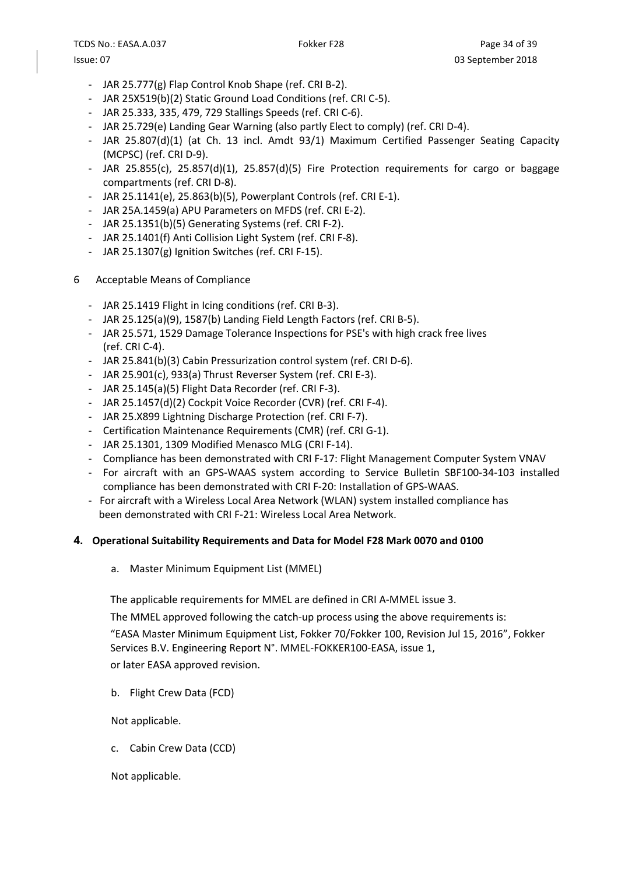- JAR 25.777(g) Flap Control Knob Shape (ref. CRI B-2).
- JAR 25X519(b)(2) Static Ground Load Conditions (ref. CRI C-5).
- JAR 25.333, 335, 479, 729 Stallings Speeds (ref. CRI C-6).
- JAR 25.729(e) Landing Gear Warning (also partly Elect to comply) (ref. CRI D-4).
- JAR 25.807(d)(1) (at Ch. 13 incl. Amdt 93/1) Maximum Certified Passenger Seating Capacity (MCPSC) (ref. CRI D-9).
- JAR 25.855(c), 25.857(d)(1), 25.857(d)(5) Fire Protection requirements for cargo or baggage compartments (ref. CRI D-8).
- JAR 25.1141(e), 25.863(b)(5), Powerplant Controls (ref. CRI E-1).
- JAR 25A.1459(a) APU Parameters on MFDS (ref. CRI E-2).
- JAR 25.1351(b)(5) Generating Systems (ref. CRI F-2).
- JAR 25.1401(f) Anti Collision Light System (ref. CRI F-8).
- JAR 25.1307(g) Ignition Switches (ref. CRI F-15).
- 6 Acceptable Means of Compliance
	- JAR 25.1419 Flight in Icing conditions (ref. CRI B-3).
	- JAR 25.125(a)(9), 1587(b) Landing Field Length Factors (ref. CRI B-5).
	- JAR 25.571, 1529 Damage Tolerance Inspections for PSE's with high crack free lives (ref. CRI C-4).
	- JAR 25.841(b)(3) Cabin Pressurization control system (ref. CRI D-6).
	- JAR 25.901(c), 933(a) Thrust Reverser System (ref. CRI E-3).
	- JAR 25.145(a)(5) Flight Data Recorder (ref. CRI F-3).
	- JAR 25.1457(d)(2) Cockpit Voice Recorder (CVR) (ref. CRI F-4).
	- JAR 25.X899 Lightning Discharge Protection (ref. CRI F-7).
	- Certification Maintenance Requirements (CMR) (ref. CRI G-1).
	- JAR 25.1301, 1309 Modified Menasco MLG (CRI F-14).
	- Compliance has been demonstrated with CRI F-17: Flight Management Computer System VNAV
	- For aircraft with an GPS-WAAS system according to Service Bulletin SBF100-34-103 installed compliance has been demonstrated with CRI F-20: Installation of GPS-WAAS.
	- For aircraft with a Wireless Local Area Network (WLAN) system installed compliance has been demonstrated with CRI F-21: Wireless Local Area Network.

## **4. Operational Suitability Requirements and Data for Model F28 Mark 0070 and 0100**

a. Master Minimum Equipment List (MMEL)

The applicable requirements for MMEL are defined in CRI A-MMEL issue 3.

The MMEL approved following the catch-up process using the above requirements is: "EASA Master Minimum Equipment List, Fokker 70/Fokker 100, Revision Jul 15, 2016", Fokker Services B.V. Engineering Report N°. MMEL-FOKKER100-EASA, issue 1, or later EASA approved revision.

b. Flight Crew Data (FCD)

Not applicable.

c. Cabin Crew Data (CCD)

Not applicable.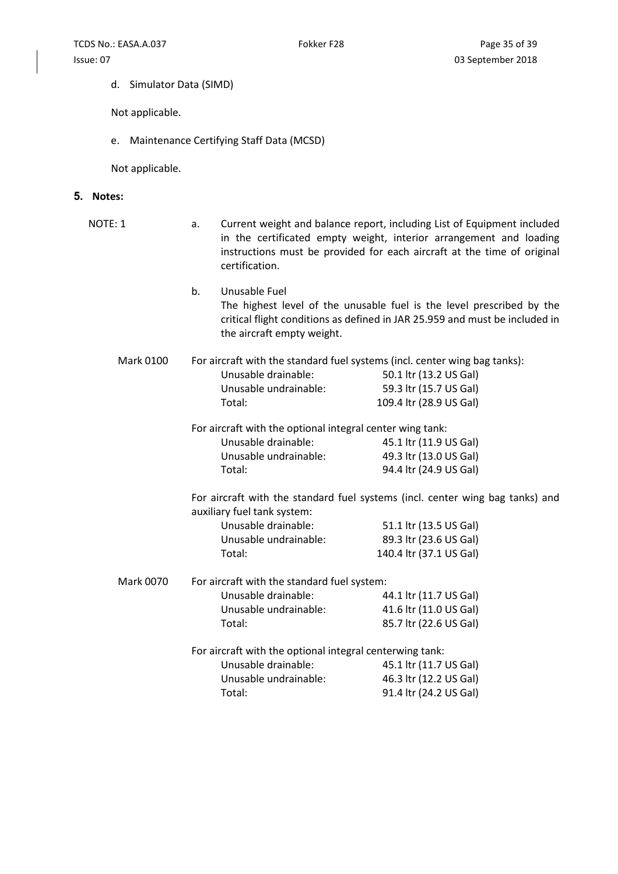d. Simulator Data (SIMD)

Not applicable.

e. Maintenance Certifying Staff Data (MCSD)

Not applicable.

## **5. Notes:**

| NOTE: 1   | a.<br>certification.                                                                                                                                                                                              | Current weight and balance report, including List of Equipment included<br>in the certificated empty weight, interior arrangement and loading<br>instructions must be provided for each aircraft at the time of original |  |  |  |
|-----------|-------------------------------------------------------------------------------------------------------------------------------------------------------------------------------------------------------------------|--------------------------------------------------------------------------------------------------------------------------------------------------------------------------------------------------------------------------|--|--|--|
|           | Unusable Fuel<br>b.<br>the aircraft empty weight.                                                                                                                                                                 | The highest level of the unusable fuel is the level prescribed by the<br>critical flight conditions as defined in JAR 25.959 and must be included in                                                                     |  |  |  |
| Mark 0100 | Unusable drainable:<br>Unusable undrainable:<br>Total:                                                                                                                                                            | For aircraft with the standard fuel systems (incl. center wing bag tanks):<br>50.1 ltr (13.2 US Gal)<br>59.3 ltr (15.7 US Gal)<br>109.4 ltr (28.9 US Gal)                                                                |  |  |  |
|           | For aircraft with the optional integral center wing tank:<br>Unusable drainable:<br>Unusable undrainable:<br>Total:                                                                                               | 45.1 ltr (11.9 US Gal)<br>49.3 ltr (13.0 US Gal)<br>94.4 ltr (24.9 US Gal)                                                                                                                                               |  |  |  |
|           | auxiliary fuel tank system:<br>Unusable drainable:<br>Unusable undrainable:<br>Total:                                                                                                                             | For aircraft with the standard fuel systems (incl. center wing bag tanks) and<br>51.1 ltr (13.5 US Gal)<br>89.3 ltr (23.6 US Gal)<br>140.4 ltr (37.1 US Gal)                                                             |  |  |  |
| Mark 0070 | For aircraft with the standard fuel system:<br>Unusable drainable:<br>Unusable undrainable:<br>Total:<br>For aircraft with the optional integral centerwing tank:<br>Unusable drainable:<br>Unusable undrainable: | 44.1 ltr (11.7 US Gal)<br>41.6 ltr (11.0 US Gal)<br>85.7 ltr (22.6 US Gal)<br>45.1 ltr (11.7 US Gal)<br>46.3 ltr (12.2 US Gal)                                                                                           |  |  |  |
|           | Total:                                                                                                                                                                                                            | 91.4 ltr (24.2 US Gal)                                                                                                                                                                                                   |  |  |  |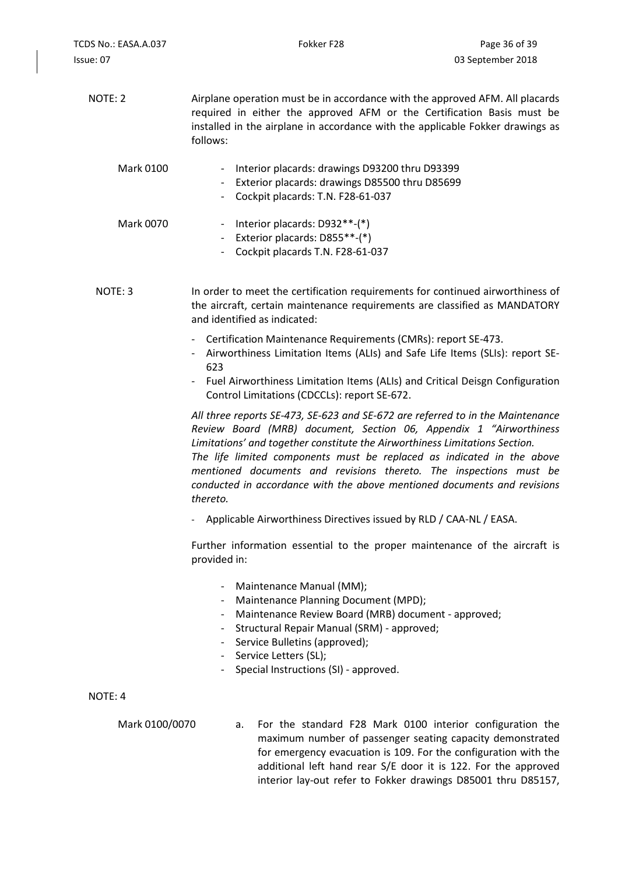| Issue: 07      | 03 September 2018                                                                                                                                                                                                                                                                                                                                                                                                                                                                                                           |
|----------------|-----------------------------------------------------------------------------------------------------------------------------------------------------------------------------------------------------------------------------------------------------------------------------------------------------------------------------------------------------------------------------------------------------------------------------------------------------------------------------------------------------------------------------|
| NOTE: 2        | Airplane operation must be in accordance with the approved AFM. All placards<br>required in either the approved AFM or the Certification Basis must be<br>installed in the airplane in accordance with the applicable Fokker drawings as<br>follows:                                                                                                                                                                                                                                                                        |
| Mark 0100      | Interior placards: drawings D93200 thru D93399<br>$\sim 100$<br>- Exterior placards: drawings D85500 thru D85699<br>Cockpit placards: T.N. F28-61-037                                                                                                                                                                                                                                                                                                                                                                       |
| Mark 0070      | Interior placards: D932**-(*)<br>$\overline{\phantom{a}}$<br>- Exterior placards: D855**-(*)<br>Cockpit placards T.N. F28-61-037                                                                                                                                                                                                                                                                                                                                                                                            |
| NOTE: 3        | In order to meet the certification requirements for continued airworthiness of<br>the aircraft, certain maintenance requirements are classified as MANDATORY<br>and identified as indicated:                                                                                                                                                                                                                                                                                                                                |
|                | - Certification Maintenance Requirements (CMRs): report SE-473.<br>- Airworthiness Limitation Items (ALIs) and Safe Life Items (SLIs): report SE-<br>623<br>Fuel Airworthiness Limitation Items (ALIs) and Critical Deisgn Configuration                                                                                                                                                                                                                                                                                    |
|                | Control Limitations (CDCCLs): report SE-672.<br>All three reports SE-473, SE-623 and SE-672 are referred to in the Maintenance<br>Review Board (MRB) document, Section 06, Appendix 1 "Airworthiness<br>Limitations' and together constitute the Airworthiness Limitations Section.<br>The life limited components must be replaced as indicated in the above<br>mentioned documents and revisions thereto. The inspections must be<br>conducted in accordance with the above mentioned documents and revisions<br>thereto. |
|                | Applicable Airworthiness Directives issued by RLD / CAA-NL / EASA.                                                                                                                                                                                                                                                                                                                                                                                                                                                          |
|                | Further information essential to the proper maintenance of the aircraft is<br>provided in:                                                                                                                                                                                                                                                                                                                                                                                                                                  |
|                | Maintenance Manual (MM);<br>$\overline{\phantom{a}}$<br>Maintenance Planning Document (MPD);<br>Maintenance Review Board (MRB) document - approved;<br>$\overline{\phantom{a}}$<br>Structural Repair Manual (SRM) - approved;<br>Service Bulletins (approved);<br>$\sim$<br>- Service Letters (SL);<br>Special Instructions (SI) - approved.                                                                                                                                                                                |
| NOTE: 4        |                                                                                                                                                                                                                                                                                                                                                                                                                                                                                                                             |
| Mark 0100/0070 | For the standard F28 Mark 0100 interior configuration the<br>a.<br>maximum number of passenger seating capacity demonstrated<br>for emergency evacuation is 109. For the configuration with the<br>additional left hand rear S/E door it is 122. For the approved<br>interior lay-out refer to Fokker drawings D85001 thru D85157,                                                                                                                                                                                          |

TCDS No.: EASA.A.037 TCDS No.: EASA.A.037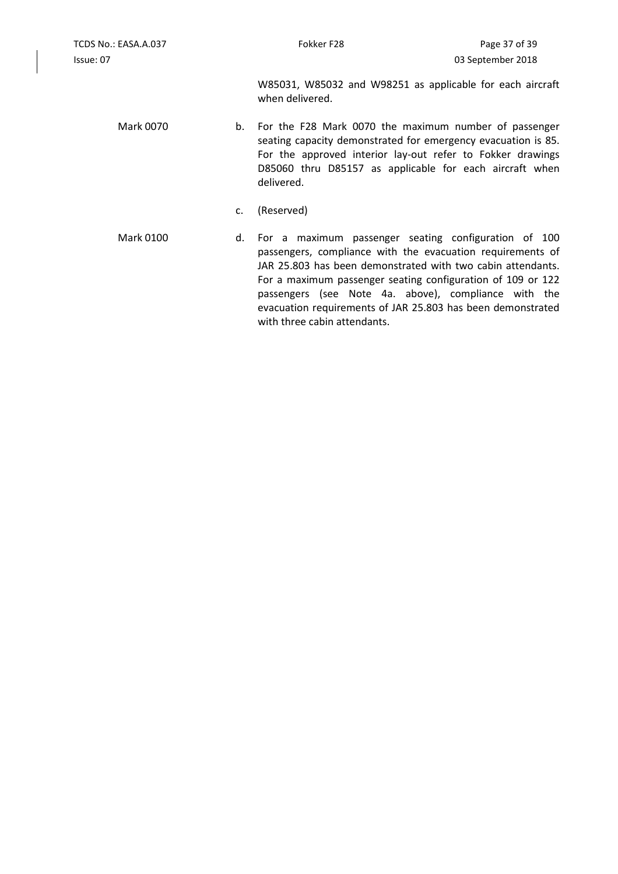W85031, W85032 and W98251 as applicable for each aircraft when delivered.

- Mark 0070 b. For the F28 Mark 0070 the maximum number of passenger seating capacity demonstrated for emergency evacuation is 85. For the approved interior lay-out refer to Fokker drawings D85060 thru D85157 as applicable for each aircraft when delivered.
	- c. (Reserved)
- Mark 0100 d. For a maximum passenger seating configuration of 100 passengers, compliance with the evacuation requirements of JAR 25.803 has been demonstrated with two cabin attendants. For a maximum passenger seating configuration of 109 or 122 passengers (see Note 4a. above), compliance with the evacuation requirements of JAR 25.803 has been demonstrated with three cabin attendants.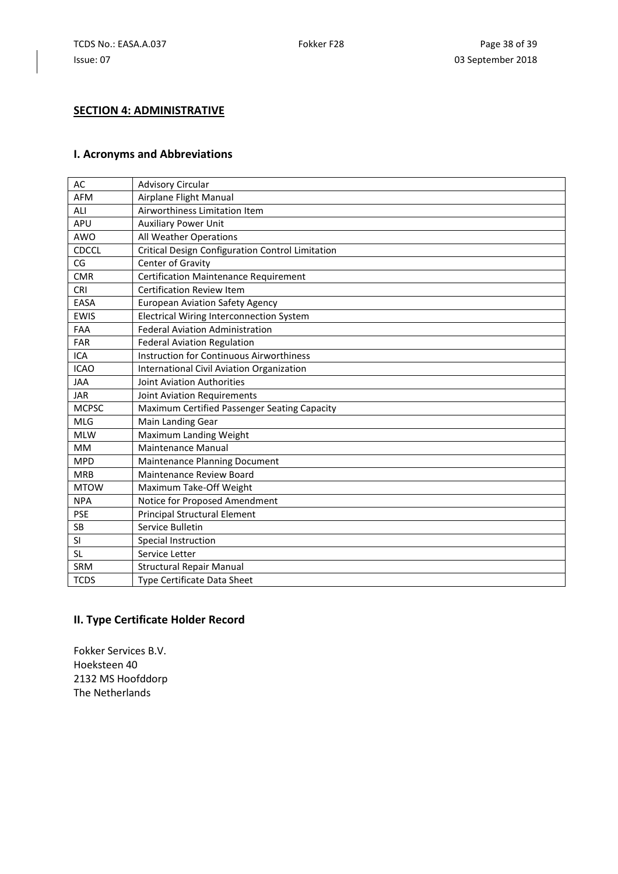## **SECTION 4: ADMINISTRATIVE**

## **I. Acronyms and Abbreviations**

| AC           | <b>Advisory Circular</b>                                |  |  |
|--------------|---------------------------------------------------------|--|--|
| <b>AFM</b>   | Airplane Flight Manual                                  |  |  |
| ALI          | Airworthiness Limitation Item                           |  |  |
| APU          | <b>Auxiliary Power Unit</b>                             |  |  |
| AWO          | All Weather Operations                                  |  |  |
| <b>CDCCL</b> | <b>Critical Design Configuration Control Limitation</b> |  |  |
| CG           | Center of Gravity                                       |  |  |
| <b>CMR</b>   | <b>Certification Maintenance Requirement</b>            |  |  |
| <b>CRI</b>   | <b>Certification Review Item</b>                        |  |  |
| EASA         | <b>European Aviation Safety Agency</b>                  |  |  |
| EWIS         | Electrical Wiring Interconnection System                |  |  |
| FAA          | <b>Federal Aviation Administration</b>                  |  |  |
| <b>FAR</b>   | <b>Federal Aviation Regulation</b>                      |  |  |
| <b>ICA</b>   | Instruction for Continuous Airworthiness                |  |  |
| <b>ICAO</b>  | International Civil Aviation Organization               |  |  |
| <b>JAA</b>   | <b>Joint Aviation Authorities</b>                       |  |  |
| <b>JAR</b>   | Joint Aviation Requirements                             |  |  |
| <b>MCPSC</b> | Maximum Certified Passenger Seating Capacity            |  |  |
| <b>MLG</b>   | Main Landing Gear                                       |  |  |
| <b>MLW</b>   | Maximum Landing Weight                                  |  |  |
| <b>MM</b>    | <b>Maintenance Manual</b>                               |  |  |
| <b>MPD</b>   | Maintenance Planning Document                           |  |  |
| <b>MRB</b>   | Maintenance Review Board                                |  |  |
| <b>MTOW</b>  | Maximum Take-Off Weight                                 |  |  |
| <b>NPA</b>   | Notice for Proposed Amendment                           |  |  |
| <b>PSE</b>   | <b>Principal Structural Element</b>                     |  |  |
| SB           | Service Bulletin                                        |  |  |
| <b>SI</b>    | Special Instruction                                     |  |  |
| <b>SL</b>    | Service Letter                                          |  |  |
| <b>SRM</b>   | <b>Structural Repair Manual</b>                         |  |  |
| <b>TCDS</b>  | Type Certificate Data Sheet                             |  |  |

## **II. Type Certificate Holder Record**

Fokker Services B.V. Hoeksteen 40 2132 MS Hoofddorp The Netherlands